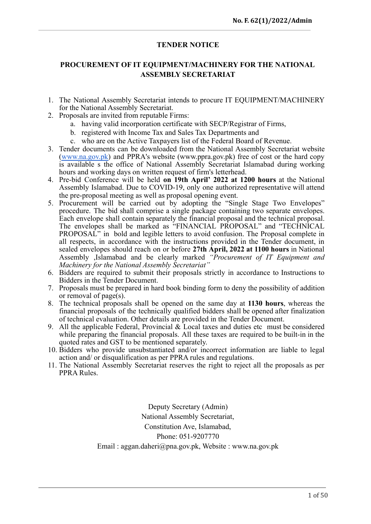# **TENDER NOTICE**

# **PROCUREMENT OF IT EQUIPMENT/MACHINERY FOR THE NATIONAL ASSEMBLY SECRETARIAT**

- 1. The National Assembly Secretariat intends to procure IT EQUIPMENT/MACHINERY for the National Assembly Secretariat.
- 2. Proposals are invited from reputable Firms:
	- a. having valid incorporation certificate with SECP/Registrar of Firms,
	- b. registered with Income Tax and Sales Tax Departments and
	- c. who are on the Active Taxpayers list of the Federal Board of Revenue.
- 3. Tender documents can be downloaded from the National Assembly Secretariat website ([www.na.gov.pk\)](http://www.na.gov.pk) and PPRA's website (www.ppra.gov.pk) free of cost or the hard copy is available s the office of National Assembly Secretariat Islamabad during working hours and working days on written request of firm's letterhead.
- 4. Pre-bid Conference will be held **on 19th April' 2022 at 1200 hours** at the National Assembly Islamabad. Due to COVID-19, only one authorized representative will attend the pre-proposal meeting as well as proposal opening event.
- 5. Procurement will be carried out by adopting the "Single Stage Two Envelopes" procedure. The bid shall comprise a single package containing two separate envelopes. Each envelope shall contain separately the financial proposal and the technical proposal. The envelopes shall be marked as "FINANCIAL PROPOSAL" and "TECHNICAL PROPOSAL" in bold and legible letters to avoid confusion. The Proposal complete in all respects, in accordance with the instructions provided in the Tender document, in sealed envelopes should reach on or before **27th April, 2022 at 1100 hours** in National Assembly ,Islamabad and be clearly marked *"Procurement of IT Equipment and Machinery for the National Assembly Secretariat"*
- 6. Bidders are required to submit their proposals strictly in accordance to Instructions to Bidders in the Tender Document.
- 7. Proposals must be prepared in hard book binding form to deny the possibility of addition or removal of page(s).
- 8. The technical proposals shall be opened on the same day at **1130 hours**, whereas the financial proposals of the technically qualified bidders shall be opened after finalization of technical evaluation. Other details are provided in the Tender Document.
- 9. All the applicable Federal, Provincial & Local taxes and duties etc must be considered while preparing the financial proposals. All these taxes are required to be built-in in the quoted rates and GST to be mentioned separately.
- 10. Bidders who provide unsubstantiated and/or incorrect information are liable to legal action and/ or disqualification as per PPRA rules and regulations.
- 11. The National Assembly Secretariat reserves the right to reject all the proposals as per PPRA Rules.

Deputy Secretary (Admin) National Assembly Secretariat, Constitution Ave, Islamabad, Phone: 051-9207770 Email : aggan.daheri@pna.gov.pk, Website : www.na.gov.pk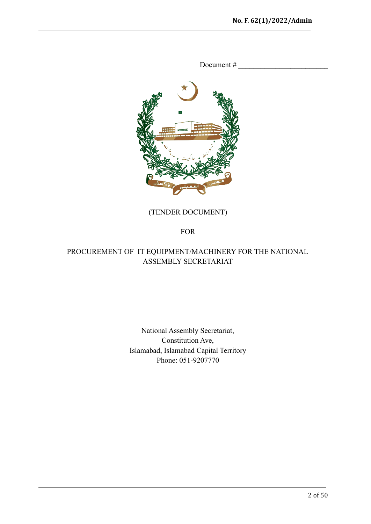

Document  $#_z$ 

# (TENDER DOCUMENT)

FOR

# PROCUREMENT OF IT EQUIPMENT/MACHINERY FOR THE NATIONAL ASSEMBLY SECRETARIAT

# National Assembly Secretariat, Constitution Ave, Islamabad, Islamabad Capital Territory Phone: 051-9207770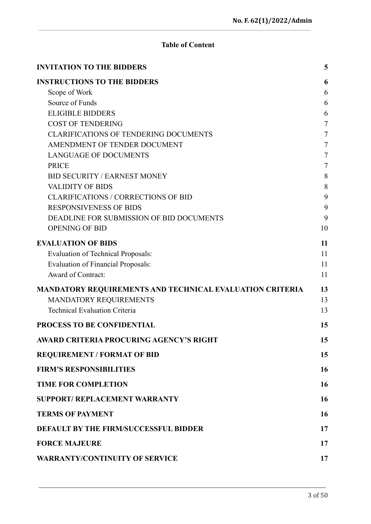# **Table of Content**

| <b>INVITATION TO THE BIDDERS</b>                                | 5              |
|-----------------------------------------------------------------|----------------|
| <b>INSTRUCTIONS TO THE BIDDERS</b>                              | 6              |
| Scope of Work                                                   | 6              |
| Source of Funds                                                 | 6              |
| <b>ELIGIBLE BIDDERS</b>                                         | 6              |
| <b>COST OF TENDERING</b>                                        | 7              |
| <b>CLARIFICATIONS OF TENDERING DOCUMENTS</b>                    | $\overline{7}$ |
| AMENDMENT OF TENDER DOCUMENT                                    | 7              |
| <b>LANGUAGE OF DOCUMENTS</b>                                    | 7              |
| <b>PRICE</b>                                                    | 7              |
| <b>BID SECURITY / EARNEST MONEY</b>                             | 8              |
| <b>VALIDITY OF BIDS</b>                                         | 8              |
| <b>CLARIFICATIONS / CORRECTIONS OF BID</b>                      | 9              |
| <b>RESPONSIVENESS OF BIDS</b>                                   | 9              |
| DEADLINE FOR SUBMISSION OF BID DOCUMENTS                        | 9              |
| <b>OPENING OF BID</b>                                           | 10             |
| <b>EVALUATION OF BIDS</b>                                       | 11             |
| <b>Evaluation of Technical Proposals:</b>                       | 11             |
| <b>Evaluation of Financial Proposals:</b>                       | 11             |
| Award of Contract:                                              | 11             |
| <b>MANDATORY REQUIREMENTS AND TECHNICAL EVALUATION CRITERIA</b> | 13             |
| MANDATORY REQUIREMENTS                                          | 13             |
| <b>Technical Evaluation Criteria</b>                            | 13             |
| PROCESS TO BE CONFIDENTIAL                                      | 15             |
| AWARD CRITERIA PROCURING AGENCY'S RIGHT                         | 15             |
| <b>REQUIREMENT / FORMAT OF BID</b>                              | 15             |
| <b>FIRM'S RESPONSIBILITIES</b>                                  | 16             |
| <b>TIME FOR COMPLETION</b>                                      | 16             |
| <b>SUPPORT/ REPLACEMENT WARRANTY</b>                            | 16             |
| <b>TERMS OF PAYMENT</b>                                         | 16             |
| <b>DEFAULT BY THE FIRM/SUCCESSFUL BIDDER</b>                    | 17             |
| <b>FORCE MAJEURE</b>                                            | 17             |
| <b>WARRANTY/CONTINUITY OF SERVICE</b>                           | 17             |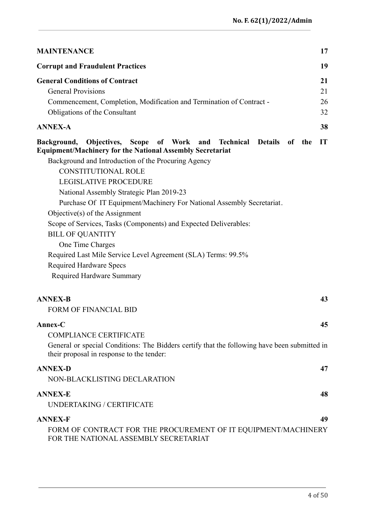| <b>MAINTENANCE</b>                                                                                                                                                                                                                                                                                                                                                                                                                                                                                                                                                                                                                                                          | 17                   |
|-----------------------------------------------------------------------------------------------------------------------------------------------------------------------------------------------------------------------------------------------------------------------------------------------------------------------------------------------------------------------------------------------------------------------------------------------------------------------------------------------------------------------------------------------------------------------------------------------------------------------------------------------------------------------------|----------------------|
| <b>Corrupt and Fraudulent Practices</b>                                                                                                                                                                                                                                                                                                                                                                                                                                                                                                                                                                                                                                     | 19                   |
| <b>General Conditions of Contract</b><br><b>General Provisions</b><br>Commencement, Completion, Modification and Termination of Contract -<br>Obligations of the Consultant                                                                                                                                                                                                                                                                                                                                                                                                                                                                                                 | 21<br>21<br>26<br>32 |
| <b>ANNEX-A</b>                                                                                                                                                                                                                                                                                                                                                                                                                                                                                                                                                                                                                                                              | 38                   |
| Background, Objectives, Scope of Work and Technical Details of<br>the<br><b>Equipment/Machinery for the National Assembly Secretariat</b><br>Background and Introduction of the Procuring Agency<br><b>CONSTITUTIONAL ROLE</b><br><b>LEGISLATIVE PROCEDURE</b><br>National Assembly Strategic Plan 2019-23<br>Purchase Of IT Equipment/Machinery For National Assembly Secretariat.<br>Objective $(s)$ of the Assignment<br>Scope of Services, Tasks (Components) and Expected Deliverables:<br><b>BILL OF QUANTITY</b><br>One Time Charges<br>Required Last Mile Service Level Agreement (SLA) Terms: 99.5%<br><b>Required Hardware Specs</b><br>Required Hardware Summary | IT                   |
| <b>ANNEX-B</b><br><b>FORM OF FINANCIAL BID</b>                                                                                                                                                                                                                                                                                                                                                                                                                                                                                                                                                                                                                              | 43                   |
| Annex-C<br><b>COMPLIANCE CERTIFICATE</b><br>General or special Conditions: The Bidders certify that the following have been submitted in<br>their proposal in response to the tender:                                                                                                                                                                                                                                                                                                                                                                                                                                                                                       | 45                   |
| <b>ANNEX-D</b><br>NON-BLACKLISTING DECLARATION                                                                                                                                                                                                                                                                                                                                                                                                                                                                                                                                                                                                                              | 47                   |
| <b>ANNEX-E</b><br><b>UNDERTAKING / CERTIFICATE</b>                                                                                                                                                                                                                                                                                                                                                                                                                                                                                                                                                                                                                          | 48                   |
| <b>ANNEX-F</b><br>FORM OF CONTRACT FOR THE PROCUREMENT OF IT EQUIPMENT/MACHINERY                                                                                                                                                                                                                                                                                                                                                                                                                                                                                                                                                                                            | 49                   |

FOR THE NATIONAL [ASSEMBLY SECRETARIAT](#page-48-1)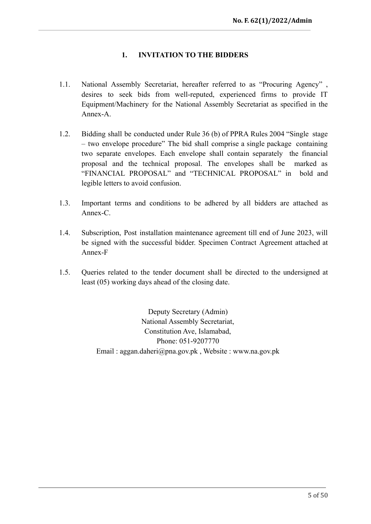## **1. INVITATION TO THE BIDDERS**

- <span id="page-4-0"></span>1.1. National Assembly Secretariat, hereafter referred to as "Procuring Agency" , desires to seek bids from well-reputed, experienced firms to provide IT Equipment/Machinery for the National Assembly Secretariat as specified in the Annex-A.
- 1.2. Bidding shall be conducted under Rule 36 (b) of PPRA Rules 2004 "Single stage – two envelope procedure" The bid shall comprise a single package containing two separate envelopes. Each envelope shall contain separately the financial proposal and the technical proposal. The envelopes shall be marked as "FINANCIAL PROPOSAL" and "TECHNICAL PROPOSAL" in bold and legible letters to avoid confusion.
- 1.3. Important terms and conditions to be adhered by all bidders are attached as Annex-C.
- 1.4. Subscription, Post installation maintenance agreement till end of June 2023, will be signed with the successful bidder. Specimen Contract Agreement attached at Annex-F
- 1.5. Queries related to the tender document shall be directed to the undersigned at least (05) working days ahead of the closing date.

Deputy Secretary (Admin) National Assembly Secretariat, Constitution Ave, Islamabad, Phone: 051-9207770 Email : aggan.daheri@pna.gov.pk , Website : www.na.gov.pk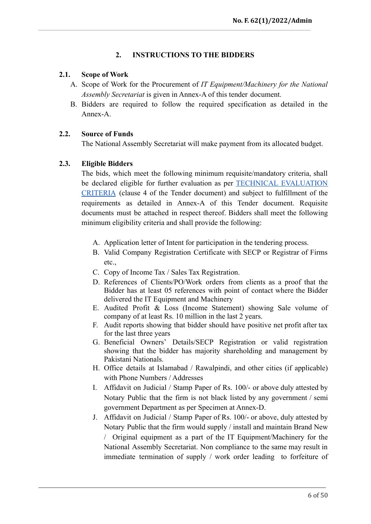## **2. INSTRUCTIONS TO THE BIDDERS**

## <span id="page-5-1"></span><span id="page-5-0"></span>**2.1. Scope of Work**

- A. Scope of Work for the Procurement of *IT Equipment/Machinery for the National Assembly Secretariat* is given in Annex-A of this tender document.
- B. Bidders are required to follow the required specification as detailed in the Annex-A.

## <span id="page-5-2"></span>**2.2. Source of Funds**

The National Assembly Secretariat will make payment from its allocated budget.

## <span id="page-5-3"></span>**2.3. Eligible Bidders**

The bids, which meet the following minimum requisite/mandatory criteria, shall be declared eligible for further evaluation as per TECHNICAL [EVALUATION](#page-12-0) [CRITERIA](#page-12-0) (clause 4 of the Tender document) and subject to fulfillment of the requirements as detailed in Annex-A of this Tender document. Requisite documents must be attached in respect thereof. Bidders shall meet the following minimum eligibility criteria and shall provide the following:

- A. Application letter of Intent for participation in the tendering process.
- B. Valid Company Registration Certificate with SECP or Registrar of Firms etc.,
- C. Copy of Income Tax / Sales Tax Registration.
- D. References of Clients/PO/Work orders from clients as a proof that the Bidder has at least 05 references with point of contact where the Bidder delivered the IT Equipment and Machinery
- E. Audited Profit & Loss (Income Statement) showing Sale volume of company of at least Rs. 10 million in the last 2 years.
- F. Audit reports showing that bidder should have positive net profit after tax for the last three years
- G. Beneficial Owners' Details/SECP Registration or valid registration showing that the bidder has majority shareholding and management by Pakistani Nationals.
- H. Office details at Islamabad / Rawalpindi, and other cities (if applicable) with Phone Numbers / Addresses
- I. Affidavit on Judicial / Stamp Paper of Rs. 100/- or above duly attested by Notary Public that the firm is not black listed by any government / semi government Department as per Specimen at Annex-D.
- J. Affidavit on Judicial / Stamp Paper of Rs. 100/- or above, duly attested by Notary Public that the firm would supply / install and maintain Brand New / Original equipment as a part of the IT Equipment/Machinery for the National Assembly Secretariat. Non compliance to the same may result in immediate termination of supply / work order leading to forfeiture of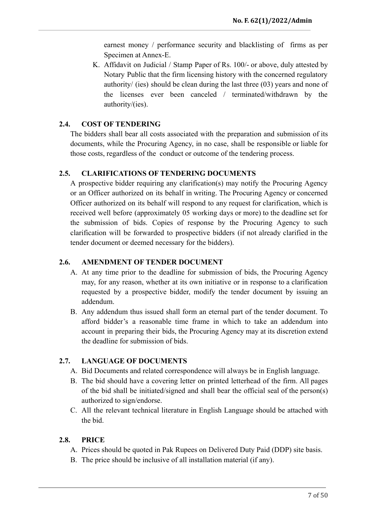earnest money / performance security and blacklisting of firms as per Specimen at Annex-E.

K. Affidavit on Judicial / Stamp Paper of Rs. 100/- or above, duly attested by Notary Public that the firm licensing history with the concerned regulatory authority/ (ies) should be clean during the last three (03) years and none of the licenses ever been canceled / terminated/withdrawn by the authority/(ies).

## <span id="page-6-0"></span>**2.4. COST OF TENDERING**

The bidders shall bear all costs associated with the preparation and submission of its documents, while the Procuring Agency, in no case, shall be responsible or liable for those costs, regardless of the conduct or outcome of the tendering process.

## <span id="page-6-1"></span>**2.5. CLARIFICATIONS OF TENDERING DOCUMENTS**

A prospective bidder requiring any clarification(s) may notify the Procuring Agency or an Officer authorized on its behalf in writing. The Procuring Agency or concerned Officer authorized on its behalf will respond to any request for clarification, which is received well before (approximately 05 working days or more) to the deadline set for the submission of bids. Copies of response by the Procuring Agency to such clarification will be forwarded to prospective bidders (if not already clarified in the tender document or deemed necessary for the bidders).

## <span id="page-6-2"></span>**2.6. AMENDMENT OF TENDER DOCUMENT**

- A. At any time prior to the deadline for submission of bids, the Procuring Agency may, for any reason, whether at its own initiative or in response to a clarification requested by a prospective bidder, modify the tender document by issuing an addendum.
- B. Any addendum thus issued shall form an eternal part of the tender document. To afford bidder's a reasonable time frame in which to take an addendum into account in preparing their bids, the Procuring Agency may at its discretion extend the deadline for submission of bids.

## <span id="page-6-3"></span>**2.7. LANGUAGE OF DOCUMENTS**

- A. Bid Documents and related correspondence will always be in English language.
- B. The bid should have a covering letter on printed letterhead of the firm. All pages of the bid shall be initiated/signed and shall bear the official seal of the person(s) authorized to sign/endorse.
- C. All the relevant technical literature in English Language should be attached with the bid.

## <span id="page-6-4"></span>**2.8. PRICE**

- A. Prices should be quoted in Pak Rupees on Delivered Duty Paid (DDP) site basis.
- B. The price should be inclusive of all installation material (if any).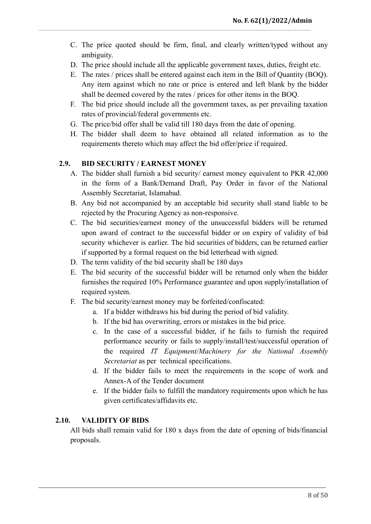- C. The price quoted should be firm, final, and clearly written/typed without any ambiguity.
- D. The price should include all the applicable government taxes, duties, freight etc.
- E. The rates / prices shall be entered against each item in the Bill of Quantity (BOQ). Any item against which no rate or price is entered and left blank by the bidder shall be deemed covered by the rates / prices for other items in the BOQ.
- F. The bid price should include all the government taxes, as per prevailing taxation rates of provincial/federal governments etc.
- G. The price/bid offer shall be valid till 180 days from the date of opening.
- H. The bidder shall deem to have obtained all related information as to the requirements thereto which may affect the bid offer/price if required.

## <span id="page-7-0"></span>**2.9. BID SECURITY / EARNEST MONEY**

- A. The bidder shall furnish a bid security/ earnest money equivalent to PKR 42,000 in the form of a Bank/Demand Draft, Pay Order in favor of the National Assembly Secretariat, Islamabad.
- B. Any bid not accompanied by an acceptable bid security shall stand liable to be rejected by the Procuring Agency as non-responsive.
- C. The bid securities/earnest money of the unsuccessful bidders will be returned upon award of contract to the successful bidder or on expiry of validity of bid security whichever is earlier. The bid securities of bidders, can be returned earlier if supported by a formal request on the bid letterhead with signed.
- D. The term validity of the bid security shall be 180 days
- E. The bid security of the successful bidder will be returned only when the bidder furnishes the required 10% Performance guarantee and upon supply/installation of required system.
- F. The bid security/earnest money may be forfeited/confiscated:
	- a. If a bidder withdraws his bid during the period of bid validity.
	- b. If the bid has overwriting, errors or mistakes in the bid price.
	- c. In the case of a successful bidder, if he fails to furnish the required performance security or fails to supply/install/test/successful operation of the required *IT Equipment/Machinery for the National Assembly Secretariat* as per technical specifications.
	- d. If the bidder fails to meet the requirements in the scope of work and Annex-A of the Tender document
	- e. If the bidder fails to fulfill the mandatory requirements upon which he has given certificates/affidavits etc.

## <span id="page-7-1"></span>**2.10. VALIDITY OF BIDS**

All bids shall remain valid for 180 x days from the date of opening of bids/financial proposals.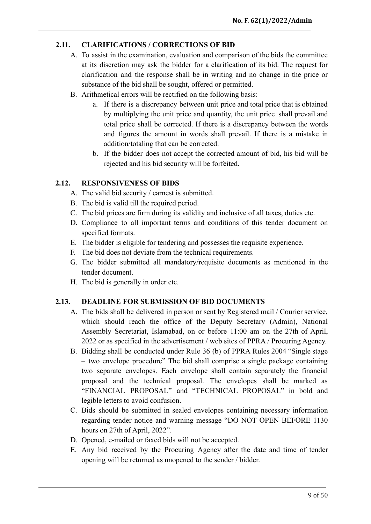# <span id="page-8-0"></span>**2.11. CLARIFICATIONS / CORRECTIONS OF BID**

- A. To assist in the examination, evaluation and comparison of the bids the committee at its discretion may ask the bidder for a clarification of its bid. The request for clarification and the response shall be in writing and no change in the price or substance of the bid shall be sought, offered or permitted.
- B. Arithmetical errors will be rectified on the following basis:
	- a. If there is a discrepancy between unit price and total price that is obtained by multiplying the unit price and quantity, the unit price shall prevail and total price shall be corrected. If there is a discrepancy between the words and figures the amount in words shall prevail. If there is a mistake in addition/totaling that can be corrected.
	- b. If the bidder does not accept the corrected amount of bid, his bid will be rejected and his bid security will be forfeited.

## <span id="page-8-1"></span>**2.12. RESPONSIVENESS OF BIDS**

- A. The valid bid security / earnest is submitted.
- B. The bid is valid till the required period.
- C. The bid prices are firm during its validity and inclusive of all taxes, duties etc.
- D. Compliance to all important terms and conditions of this tender document on specified formats.
- E. The bidder is eligible for tendering and possesses the requisite experience.
- F. The bid does not deviate from the technical requirements.
- G. The bidder submitted all mandatory/requisite documents as mentioned in the tender document.
- H. The bid is generally in order etc.

# <span id="page-8-2"></span>**2.13. DEADLINE FOR SUBMISSION OF BID DOCUMENTS**

- A. The bids shall be delivered in person or sent by Registered mail / Courier service, which should reach the office of the Deputy Secretary (Admin), National Assembly Secretariat, Islamabad, on or before 11:00 am on the 27th of April, 2022 or as specified in the advertisement / web sites of PPRA / Procuring Agency.
- B. Bidding shall be conducted under Rule 36 (b) of PPRA Rules 2004 "Single stage – two envelope procedure" The bid shall comprise a single package containing two separate envelopes. Each envelope shall contain separately the financial proposal and the technical proposal. The envelopes shall be marked as "FINANCIAL PROPOSAL" and "TECHNICAL PROPOSAL" in bold and legible letters to avoid confusion.
- C. Bids should be submitted in sealed envelopes containing necessary information regarding tender notice and warning message "DO NOT OPEN BEFORE 1130 hours on 27th of April, 2022".
- D. Opened, e-mailed or faxed bids will not be accepted.
- E. Any bid received by the Procuring Agency after the date and time of tender opening will be returned as unopened to the sender / bidder.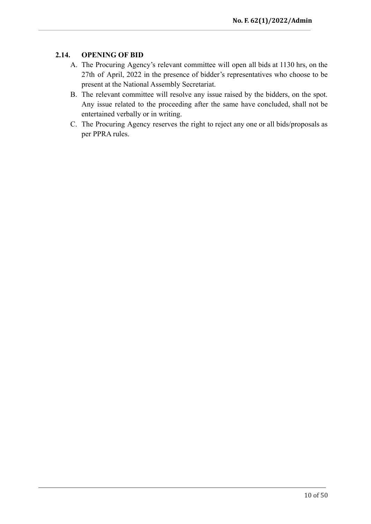## <span id="page-9-0"></span>**2.14. OPENING OF BID**

- A. The Procuring Agency's relevant committee will open all bids at 1130 hrs, on the 27th of April, 2022 in the presence of bidder's representatives who choose to be present at the National Assembly Secretariat.
- B. The relevant committee will resolve any issue raised by the bidders, on the spot. Any issue related to the proceeding after the same have concluded, shall not be entertained verbally or in writing.
- C. The Procuring Agency reserves the right to reject any one or all bids/proposals as per PPRA rules.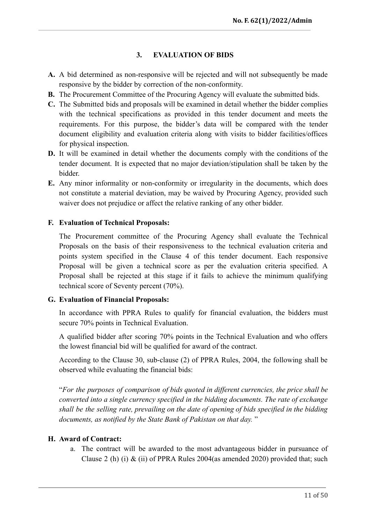## **3. EVALUATION OF BIDS**

- <span id="page-10-0"></span>**A.** A bid determined as non-responsive will be rejected and will not subsequently be made responsive by the bidder by correction of the non-conformity.
- **B.** The Procurement Committee of the Procuring Agency will evaluate the submitted bids.
- **C.** The Submitted bids and proposals will be examined in detail whether the bidder complies with the technical specifications as provided in this tender document and meets the requirements. For this purpose, the bidder's data will be compared with the tender document eligibility and evaluation criteria along with visits to bidder facilities/offices for physical inspection.
- **D.** It will be examined in detail whether the documents comply with the conditions of the tender document. It is expected that no major deviation/stipulation shall be taken by the bidder.
- **E.** Any minor informality or non-conformity or irregularity in the documents, which does not constitute a material deviation, may be waived by Procuring Agency, provided such waiver does not prejudice or affect the relative ranking of any other bidder.

## <span id="page-10-1"></span>**F. Evaluation of Technical Proposals:**

The Procurement committee of the Procuring Agency shall evaluate the Technical Proposals on the basis of their responsiveness to the technical evaluation criteria and points system specified in the Clause 4 of this tender document. Each responsive Proposal will be given a technical score as per the evaluation criteria specified. A Proposal shall be rejected at this stage if it fails to achieve the minimum qualifying technical score of Seventy percent (70%).

## <span id="page-10-2"></span>**G. Evaluation of Financial Proposals:**

In accordance with PPRA Rules to qualify for financial evaluation, the bidders must secure 70% points in Technical Evaluation.

A qualified bidder after scoring 70% points in the Technical Evaluation and who offers the lowest financial bid will be qualified for award of the contract.

According to the Clause 30, sub-clause (2) of PPRA Rules, 2004, the following shall be observed while evaluating the financial bids:

"*For the purposes of comparison of bids quoted in different currencies, the price shall be converted into a single currency specified in the bidding documents. The rate of exchange shall be the selling rate, prevailing on the date of opening of bids specified in the bidding documents, as notified by the State Bank of Pakistan on that day.* "

## <span id="page-10-3"></span>**H. Award of Contract:**

a. The contract will be awarded to the most advantageous bidder in pursuance of Clause 2 (h) (i)  $\&$  (ii) of PPRA Rules 2004(as amended 2020) provided that; such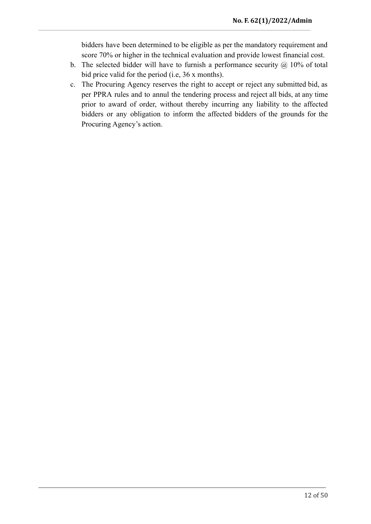bidders have been determined to be eligible as per the mandatory requirement and score 70% or higher in the technical evaluation and provide lowest financial cost.

- b. The selected bidder will have to furnish a performance security  $\omega$  10% of total bid price valid for the period (i.e, 36 x months).
- c. The Procuring Agency reserves the right to accept or reject any submitted bid, as per PPRA rules and to annul the tendering process and reject all bids, at any time prior to award of order, without thereby incurring any liability to the affected bidders or any obligation to inform the affected bidders of the grounds for the Procuring Agency's action.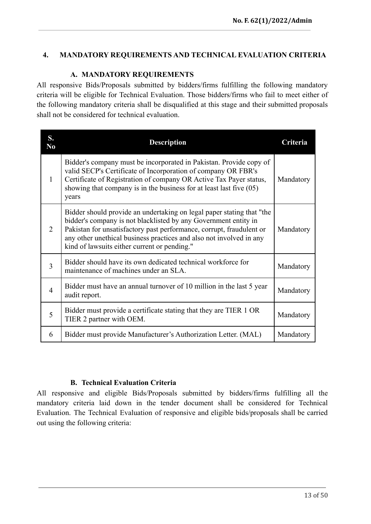## <span id="page-12-0"></span>**4. MANDATORY REQUIREMENTS AND TECHNICAL EVALUATION CRITERIA**

# **A. MANDATORY REQUIREMENTS**

<span id="page-12-1"></span>All responsive Bids/Proposals submitted by bidders/firms fulfilling the following mandatory criteria will be eligible for Technical Evaluation. Those bidders/firms who fail to meet either of the following mandatory criteria shall be disqualified at this stage and their submitted proposals shall not be considered for technical evaluation.

| S.<br>N <sub>0</sub> | <b>Description</b>                                                                                                                                                                                                                                                                                                                      | Criteria  |
|----------------------|-----------------------------------------------------------------------------------------------------------------------------------------------------------------------------------------------------------------------------------------------------------------------------------------------------------------------------------------|-----------|
| $\mathbf{1}$         | Bidder's company must be incorporated in Pakistan. Provide copy of<br>valid SECP's Certificate of Incorporation of company OR FBR's<br>Certificate of Registration of company OR Active Tax Payer status,<br>showing that company is in the business for at least last five $(05)$<br>years                                             | Mandatory |
| 2                    | Bidder should provide an undertaking on legal paper stating that "the<br>bidder's company is not blacklisted by any Government entity in<br>Pakistan for unsatisfactory past performance, corrupt, fraudulent or<br>any other unethical business practices and also not involved in any<br>kind of lawsuits either current or pending." | Mandatory |
| $\overline{3}$       | Bidder should have its own dedicated technical workforce for<br>maintenance of machines under an SLA.                                                                                                                                                                                                                                   | Mandatory |
| $\overline{4}$       | Bidder must have an annual turnover of 10 million in the last 5 year<br>audit report.                                                                                                                                                                                                                                                   | Mandatory |
| 5                    | Bidder must provide a certificate stating that they are TIER 1 OR<br>TIER 2 partner with OEM.                                                                                                                                                                                                                                           | Mandatory |
| 6                    | Bidder must provide Manufacturer's Authorization Letter. (MAL)                                                                                                                                                                                                                                                                          | Mandatory |

# **B. Technical Evaluation Criteria**

All responsive and eligible Bids/Proposals submitted by bidders/firms fulfilling all the mandatory criteria laid down in the tender document shall be considered for Technical Evaluation. The Technical Evaluation of responsive and eligible bids/proposals shall be carried out using the following criteria: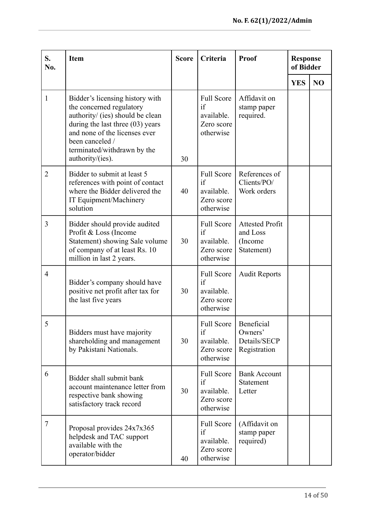| S.<br>No.      | <b>Item</b>                                                                                                                                                                                                                                  | <b>Score</b> | Criteria                                                         | Proof                                                       | <b>Response</b><br>of Bidder |                |
|----------------|----------------------------------------------------------------------------------------------------------------------------------------------------------------------------------------------------------------------------------------------|--------------|------------------------------------------------------------------|-------------------------------------------------------------|------------------------------|----------------|
|                |                                                                                                                                                                                                                                              |              |                                                                  |                                                             | <b>YES</b>                   | N <sub>O</sub> |
| $\mathbf{1}$   | Bidder's licensing history with<br>the concerned regulatory<br>authority/ (ies) should be clean<br>during the last three $(03)$ years<br>and none of the licenses ever<br>been canceled /<br>terminated/withdrawn by the<br>authority/(ies). | 30           | <b>Full Score</b><br>if<br>available.<br>Zero score<br>otherwise | Affidavit on<br>stamp paper<br>required.                    |                              |                |
| $\overline{2}$ | Bidder to submit at least 5<br>references with point of contact<br>where the Bidder delivered the<br>IT Equipment/Machinery<br>solution                                                                                                      | 40           | <b>Full Score</b><br>if<br>available.<br>Zero score<br>otherwise | References of<br>Clients/PO/<br>Work orders                 |                              |                |
| 3              | Bidder should provide audited<br>Profit & Loss (Income<br>Statement) showing Sale volume<br>of company of at least Rs. 10<br>million in last 2 years.                                                                                        | 30           | <b>Full Score</b><br>if<br>available.<br>Zero score<br>otherwise | <b>Attested Profit</b><br>and Loss<br>(Income<br>Statement) |                              |                |
| $\overline{4}$ | Bidder's company should have<br>positive net profit after tax for<br>the last five years                                                                                                                                                     | 30           | <b>Full Score</b><br>if<br>available.<br>Zero score<br>otherwise | <b>Audit Reports</b>                                        |                              |                |
| 5              | Bidders must have majority<br>shareholding and management<br>by Pakistani Nationals.                                                                                                                                                         | 30           | <b>Full Score</b><br>if<br>available.<br>Zero score<br>otherwise | Beneficial<br>Owners'<br>Details/SECP<br>Registration       |                              |                |
| 6              | Bidder shall submit bank<br>account maintenance letter from<br>respective bank showing<br>satisfactory track record                                                                                                                          | 30           | <b>Full Score</b><br>if<br>available.<br>Zero score<br>otherwise | <b>Bank Account</b><br>Statement<br>Letter                  |                              |                |
| $\overline{7}$ | Proposal provides 24x7x365<br>helpdesk and TAC support<br>available with the<br>operator/bidder                                                                                                                                              | 40           | <b>Full Score</b><br>if<br>available.<br>Zero score<br>otherwise | (Affidavit on<br>stamp paper<br>required)                   |                              |                |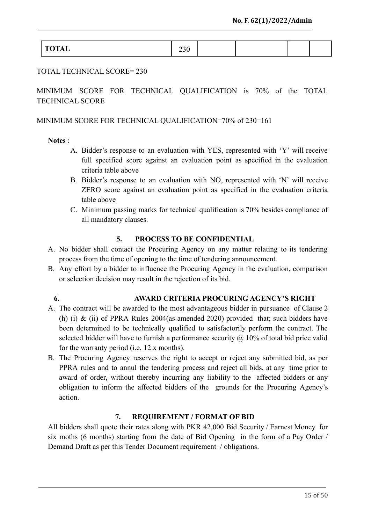| $\sim$ $\sim$ $\sim$<br>$\ddotsc$ | -- |  |  |
|-----------------------------------|----|--|--|
|                                   |    |  |  |

#### TOTAL TECHNICAL SCORE= 230

MINIMUM SCORE FOR TECHNICAL QUALIFICATION is 70% of the TOTAL TECHNICAL SCORE

#### MINIMUM SCORE FOR TECHNICAL QUALIFICATION=70% of 230=161

#### **Notes** :

- A. Bidder's response to an evaluation with YES, represented with 'Y' will receive full specified score against an evaluation point as specified in the evaluation criteria table above
- B. Bidder's response to an evaluation with NO, represented with 'N' will receive ZERO score against an evaluation point as specified in the evaluation criteria table above
- C. Minimum passing marks for technical qualification is 70% besides compliance of all mandatory clauses.

#### **5. PROCESS TO BE CONFIDENTIAL**

- <span id="page-14-0"></span>A. No bidder shall contact the Procuring Agency on any matter relating to its tendering process from the time of opening to the time of tendering announcement.
- B. Any effort by a bidder to influence the Procuring Agency in the evaluation, comparison or selection decision may result in the rejection of its bid.

## **6. AWARD CRITERIA PROCURING AGENCY'S RIGHT**

- <span id="page-14-1"></span>A. The contract will be awarded to the most advantageous bidder in pursuance of Clause 2 (h) (i) & (ii) of PPRA Rules 2004(as amended 2020) provided that; such bidders have been determined to be technically qualified to satisfactorily perform the contract. The selected bidder will have to furnish a performance security  $\omega$  10% of total bid price valid for the warranty period (i.e, 12 x months).
- B. The Procuring Agency reserves the right to accept or reject any submitted bid, as per PPRA rules and to annul the tendering process and reject all bids, at any time prior to award of order, without thereby incurring any liability to the affected bidders or any obligation to inform the affected bidders of the grounds for the Procuring Agency's action.

## **7. REQUIREMENT / FORMAT OF BID**

<span id="page-14-2"></span>All bidders shall quote their rates along with PKR 42,000 Bid Security / Earnest Money for six moths (6 months) starting from the date of Bid Opening in the form of a Pay Order / Demand Draft as per this Tender Document requirement / obligations.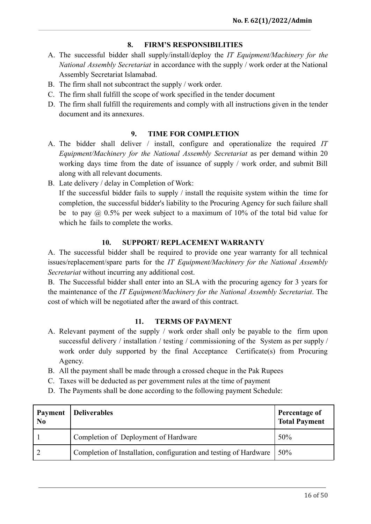## **8. FIRM'S RESPONSIBILITIES**

- <span id="page-15-0"></span>A. The successful bidder shall supply/install/deploy the *IT Equipment/Machinery for the National Assembly Secretariat* in accordance with the supply / work order at the National Assembly Secretariat Islamabad.
- B. The firm shall not subcontract the supply / work order.
- C. The firm shall fulfill the scope of work specified in the tender document
- D. The firm shall fulfill the requirements and comply with all instructions given in the tender document and its annexures.

## **9. TIME FOR COMPLETION**

- <span id="page-15-1"></span>A. The bidder shall deliver / install, configure and operationalize the required *IT Equipment/Machinery for the National Assembly Secretariat* as per demand within 20 working days time from the date of issuance of supply / work order, and submit Bill along with all relevant documents.
- B. Late delivery / delay in Completion of Work:

If the successful bidder fails to supply / install the requisite system within the time for completion, the successful bidder's liability to the Procuring Agency for such failure shall be to pay @ 0.5% per week subject to a maximum of 10% of the total bid value for which he fails to complete the works.

## **10. SUPPORT/ REPLACEMENT WARRANTY**

<span id="page-15-2"></span>A. The successful bidder shall be required to provide one year warranty for all technical issues/replacement/spare parts for the *IT Equipment/Machinery for the National Assembly Secretariat* without incurring any additional cost.

B. The Successful bidder shall enter into an SLA with the procuring agency for 3 years for the maintenance of the *IT Equipment/Machinery for the National Assembly Secretariat*. The cost of which will be negotiated after the award of this contract.

## **11. TERMS OF PAYMENT**

- <span id="page-15-3"></span>A. Relevant payment of the supply / work order shall only be payable to the firm upon successful delivery / installation / testing / commissioning of the System as per supply / work order duly supported by the final Acceptance Certificate(s) from Procuring Agency.
- B. All the payment shall be made through a crossed cheque in the Pak Rupees
- C. Taxes will be deducted as per government rules at the time of payment
- D. The Payments shall be done according to the following payment Schedule:

| Payment<br>N <sub>0</sub> | Deliverables                                                      | Percentage of<br><b>Total Payment</b> |
|---------------------------|-------------------------------------------------------------------|---------------------------------------|
|                           | Completion of Deployment of Hardware                              | 50%                                   |
|                           | Completion of Installation, configuration and testing of Hardware | 50%                                   |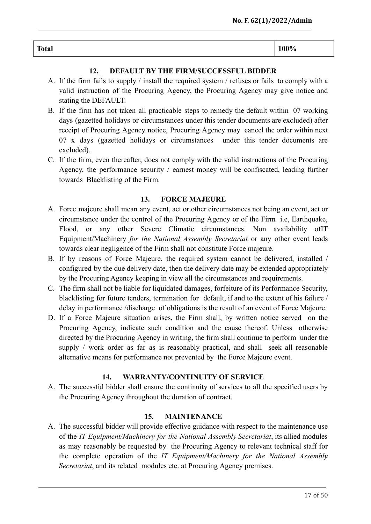# **Total 100%**

## **12. DEFAULT BY THE FIRM/SUCCESSFUL BIDDER**

- <span id="page-16-0"></span>A. If the firm fails to supply / install the required system / refuses or fails to comply with a valid instruction of the Procuring Agency, the Procuring Agency may give notice and stating the DEFAULT.
- B. If the firm has not taken all practicable steps to remedy the default within 07 working days (gazetted holidays or circumstances under this tender documents are excluded) after receipt of Procuring Agency notice, Procuring Agency may cancel the order within next 07 x days (gazetted holidays or circumstances under this tender documents are excluded).
- C. If the firm, even thereafter, does not comply with the valid instructions of the Procuring Agency, the performance security / earnest money will be confiscated, leading further towards Blacklisting of the Firm.

## **13. FORCE MAJEURE**

- <span id="page-16-1"></span>A. Force majeure shall mean any event, act or other circumstances not being an event, act or circumstance under the control of the Procuring Agency or of the Firm i.e, Earthquake, Flood, or any other Severe Climatic circumstances. Non availability ofIT Equipment/Machinery *for the National Assembly Secretariat* or any other event leads towards clear negligence of the Firm shall not constitute Force majeure.
- B. If by reasons of Force Majeure, the required system cannot be delivered, installed / configured by the due delivery date, then the delivery date may be extended appropriately by the Procuring Agency keeping in view all the circumstances and requirements.
- C. The firm shall not be liable for liquidated damages, forfeiture of its Performance Security, blacklisting for future tenders, termination for default, if and to the extent of his failure / delay in performance /discharge of obligations is the result of an event of Force Majeure.
- D. If a Force Majeure situation arises, the Firm shall, by written notice served on the Procuring Agency, indicate such condition and the cause thereof. Unless otherwise directed by the Procuring Agency in writing, the firm shall continue to perform under the supply / work order as far as is reasonably practical, and shall seek all reasonable alternative means for performance not prevented by the Force Majeure event.

## **14. WARRANTY/CONTINUITY OF SERVICE**

<span id="page-16-2"></span>A. The successful bidder shall ensure the continuity of services to all the specified users by the Procuring Agency throughout the duration of contract.

## **15. MAINTENANCE**

<span id="page-16-3"></span>A. The successful bidder will provide effective guidance with respect to the maintenance use of the *IT Equipment/Machinery for the National Assembly Secretariat*, its allied modules as may reasonably be requested by the Procuring Agency to relevant technical staff for the complete operation of the *IT Equipment/Machinery for the National Assembly Secretariat*, and its related modules etc. at Procuring Agency premises.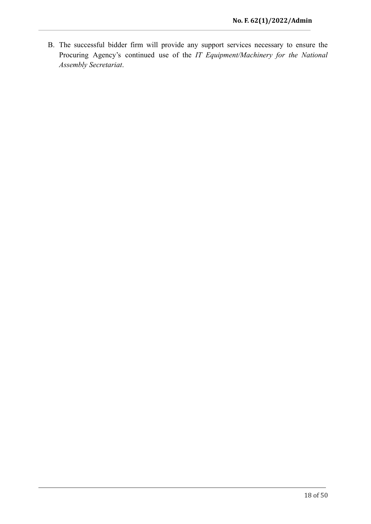B. The successful bidder firm will provide any support services necessary to ensure the Procuring Agency's continued use of the *IT Equipment/Machinery for the National Assembly Secretariat*.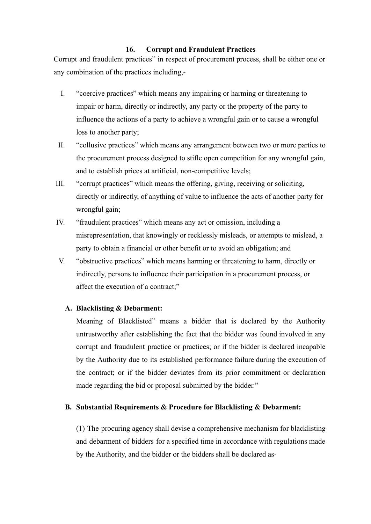#### **16. Corrupt and Fraudulent Practices**

<span id="page-18-0"></span>Corrupt and fraudulent practices" in respect of procurement process, shall be either one or any combination of the practices including,-

- I. "coercive practices" which means any impairing or harming or threatening to impair or harm, directly or indirectly, any party or the property of the party to influence the actions of a party to achieve a wrongful gain or to cause a wrongful loss to another party;
- II. "collusive practices" which means any arrangement between two or more parties to the procurement process designed to stifle open competition for any wrongful gain, and to establish prices at artificial, non-competitive levels;
- III. "corrupt practices" which means the offering, giving, receiving or soliciting, directly or indirectly, of anything of value to influence the acts of another party for wrongful gain;
- IV. "fraudulent practices" which means any act or omission, including a misrepresentation, that knowingly or recklessly misleads, or attempts to mislead, a party to obtain a financial or other benefit or to avoid an obligation; and
- V. "obstructive practices" which means harming or threatening to harm, directly or indirectly, persons to influence their participation in a procurement process, or affect the execution of a contract;"

## **A. Blacklisting & Debarment:**

Meaning of Blacklisted" means a bidder that is declared by the Authority untrustworthy after establishing the fact that the bidder was found involved in any corrupt and fraudulent practice or practices; or if the bidder is declared incapable by the Authority due to its established performance failure during the execution of the contract; or if the bidder deviates from its prior commitment or declaration made regarding the bid or proposal submitted by the bidder."

## **B. Substantial Requirements & Procedure for Blacklisting & Debarment:**

(1) The procuring agency shall devise a comprehensive mechanism for blacklisting and debarment of bidders for a specified time in accordance with regulations made by the Authority, and the bidder or the bidders shall be declared as-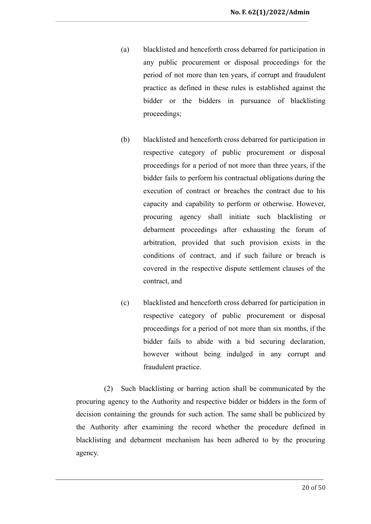- (a) blacklisted and henceforth cross debarred for participation in any public procurement or disposal proceedings for the period of not more than ten years, if corrupt and fraudulent practice as defined in these rules is established against the bidder or the bidders in pursuance of blacklisting proceedings;
- (b) blacklisted and henceforth cross debarred for participation in respective category of public procurement or disposal proceedings for a period of not more than three years, if the bidder fails to perform his contractual obligations during the execution of contract or breaches the contract due to his capacity and capability to perform or otherwise. However, procuring agency shall initiate such blacklisting or debarment proceedings after exhausting the forum of arbitration, provided that such provision exists in the conditions of contract, and if such failure or breach is covered in the respective dispute settlement clauses of the contract, and
- (c) blacklisted and henceforth cross debarred for participation in respective category of public procurement or disposal proceedings for a period of not more than six months, if the bidder fails to abide with a bid securing declaration, however without being indulged in any corrupt and fraudulent practice.

(2) Such blacklisting or barring action shall be communicated by the procuring agency to the Authority and respective bidder or bidders in the form of decision containing the grounds for such action. The same shall be publicized by the Authority after examining the record whether the procedure defined in blacklisting and debarment mechanism has been adhered to by the procuring agency.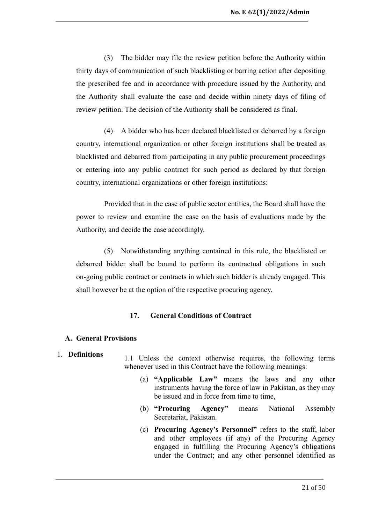(3) The bidder may file the review petition before the Authority within thirty days of communication of such blacklisting or barring action after depositing the prescribed fee and in accordance with procedure issued by the Authority, and the Authority shall evaluate the case and decide within ninety days of filing of review petition. The decision of the Authority shall be considered as final.

(4) A bidder who has been declared blacklisted or debarred by a foreign country, international organization or other foreign institutions shall be treated as blacklisted and debarred from participating in any public procurement proceedings or entering into any public contract for such period as declared by that foreign country, international organizations or other foreign institutions:

Provided that in the case of public sector entities, the Board shall have the power to review and examine the case on the basis of evaluations made by the Authority, and decide the case accordingly.

(5) Notwithstanding anything contained in this rule, the blacklisted or debarred bidder shall be bound to perform its contractual obligations in such on-going public contract or contracts in which such bidder is already engaged. This shall however be at the option of the respective procuring agency.

#### **17. General Conditions of Contract**

#### <span id="page-20-1"></span><span id="page-20-0"></span>**A. General Provisions**

# 1. **Definitions** 1.1 Unless the context otherwise requires, the following terms whenever used in this Contract have the following meanings:

- (a) **"Applicable Law"** means the laws and any other instruments having the force of law in Pakistan, as they may be issued and in force from time to time,
- (b) **"Procuring Agency"** means National Assembly Secretariat, Pakistan.
- (c) **Procuring Agency's Personnel"** refers to the staff, labor and other employees (if any) of the Procuring Agency engaged in fulfilling the Procuring Agency's obligations under the Contract; and any other personnel identified as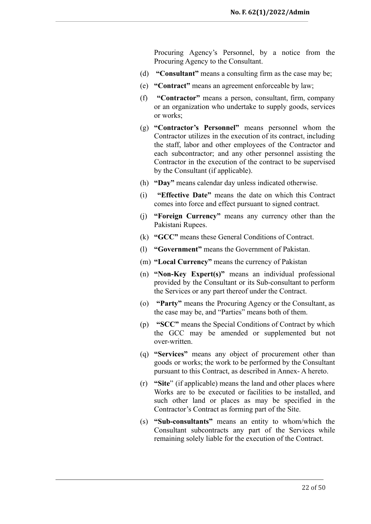Procuring Agency's Personnel, by a notice from the Procuring Agency to the Consultant.

- (d) **"Consultant"** means a consulting firm as the case may be;
- (e) **"Contract"** means an agreement enforceable by law;
- (f) **"Contractor"** means a person, consultant, firm, company or an organization who undertake to supply goods, services or works;
- (g) **"Contractor's Personnel"** means personnel whom the Contractor utilizes in the execution of its contract, including the staff, labor and other employees of the Contractor and each subcontractor; and any other personnel assisting the Contractor in the execution of the contract to be supervised by the Consultant (if applicable).
- (h) **"Day"** means calendar day unless indicated otherwise.
- (i) **"Effective Date"** means the date on which this Contract comes into force and effect pursuant to signed contract.
- (j) **"Foreign Currency"** means any currency other than the Pakistani Rupees.
- (k) **"GCC"** means these General Conditions of Contract.
- (l) **"Government"** means the Government of Pakistan.
- (m) **"Local Currency"** means the currency of Pakistan
- (n) **"Non-Key Expert(s)"** means an individual professional provided by the Consultant or its Sub-consultant to perform the Services or any part thereof under the Contract.
- (o) **"Party"** means the Procuring Agency or the Consultant, as the case may be, and "Parties" means both of them.
- (p) **"SCC"** means the Special Conditions of Contract by which the GCC may be amended or supplemented but not over-written.
- (q) **"Services"** means any object of procurement other than goods or works; the work to be performed by the Consultant pursuant to this Contract, as described in Annex- A hereto.
- (r) **"Site**" (if applicable) means the land and other places where Works are to be executed or facilities to be installed, and such other land or places as may be specified in the Contractor's Contract as forming part of the Site.
- (s) **"Sub-consultants"** means an entity to whom/which the Consultant subcontracts any part of the Services while remaining solely liable for the execution of the Contract.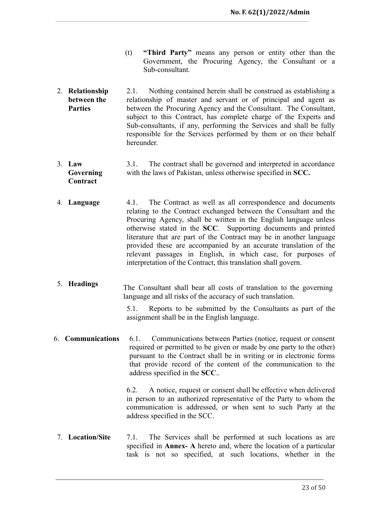- (t) **"Third Party"** means any person or entity other than the Government, the Procuring Agency, the Consultant or a Sub-consultant.
- 2. **Relationship between the Parties** 2.1. Nothing contained herein shall be construed as establishing a relationship of master and servant or of principal and agent as between the Procuring Agency and the Consultant. The Consultant, subject to this Contract, has complete charge of the Experts and Sub-consultants, if any, performing the Services and shall be fully responsible for the Services performed by them or on their behalf hereunder.
- 3. **Law Governing Contract** 3.1. The contract shall be governed and interpreted in accordance with the laws of Pakistan, unless otherwise specified in **SCC.**
- 4. **Language** 4.1. The Contract as well as all correspondence and documents relating to the Contract exchanged between the Consultant and the Procuring Agency, shall be written in the English language unless otherwise stated in the **SCC**. Supporting documents and printed literature that are part of the Contract may be in another language provided these are accompanied by an accurate translation of the relevant passages in English, in which case, for purposes of interpretation of the Contract, this translation shall govern.
- 5. **Headings** The Consultant shall bear all costs of translation to the governing language and all risks of the accuracy of such translation.

5.1. Reports to be submitted by the Consultants as part of the assignment shall be in the English language.

6. **Communications** 6.1. Communications between Parties (notice, request or consent required or permitted to be given or made by one party to the other) pursuant to the Contract shall be in writing or in electronic forms that provide record of the content of the communication to the address specified in the **SCC**..

> 6.2. A notice, request or consent shall be effective when delivered in person to an authorized representative of the Party to whom the communication is addressed, or when sent to such Party at the address specified in the SCC.

7. **Location/Site** 7.1. The Services shall be performed at such locations as are specified in **Annex- A** hereto and, where the location of a particular task is not so specified, at such locations, whether in the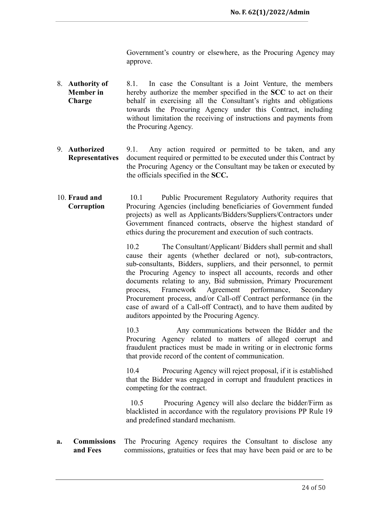Government's country or elsewhere, as the Procuring Agency may approve.

- 8. **Authority of Member in Charge** 8.1. In case the Consultant is a Joint Venture, the members hereby authorize the member specified in the **SCC** to act on their behalf in exercising all the Consultant's rights and obligations towards the Procuring Agency under this Contract, including without limitation the receiving of instructions and payments from the Procuring Agency.
- 9. **Authorized Representatives** 9.1. Any action required or permitted to be taken, and any document required or permitted to be executed under this Contract by the Procuring Agency or the Consultant may be taken or executed by the officials specified in the **SCC.**
- 10. **Fraud and Corruption** 10.1 Public Procurement Regulatory Authority requires that Procuring Agencies (including beneficiaries of Government funded projects) as well as Applicants/Bidders/Suppliers/Contractors under Government financed contracts, observe the highest standard of ethics during the procurement and execution of such contracts.

10.2 The Consultant/Applicant/ Bidders shall permit and shall cause their agents (whether declared or not), sub-contractors, sub-consultants, Bidders, suppliers, and their personnel, to permit the Procuring Agency to inspect all accounts, records and other documents relating to any, Bid submission, Primary Procurement process, Framework Agreement performance, Secondary Procurement process, and/or Call-off Contract performance (in the case of award of a Call-off Contract), and to have them audited by auditors appointed by the Procuring Agency.

10.3 Any communications between the Bidder and the Procuring Agency related to matters of alleged corrupt and fraudulent practices must be made in writing or in electronic forms that provide record of the content of communication.

10.4 Procuring Agency will reject proposal, if it is established that the Bidder was engaged in corrupt and fraudulent practices in competing for the contract.

10.5 Procuring Agency will also declare the bidder/Firm as blacklisted in accordance with the regulatory provisions PP Rule 19 and predefined standard mechanism.

**a. Commissions and Fees** The Procuring Agency requires the Consultant to disclose any commissions, gratuities or fees that may have been paid or are to be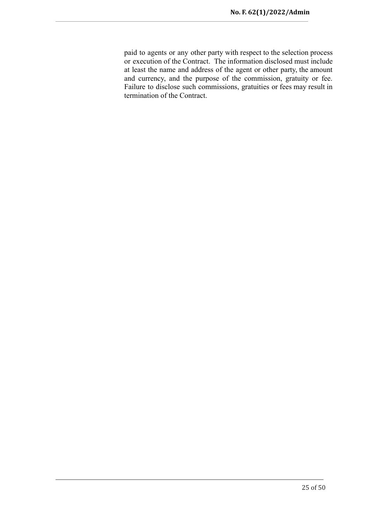paid to agents or any other party with respect to the selection process or execution of the Contract. The information disclosed must include at least the name and address of the agent or other party, the amount and currency, and the purpose of the commission, gratuity or fee. Failure to disclose such commissions, gratuities or fees may result in termination of the Contract.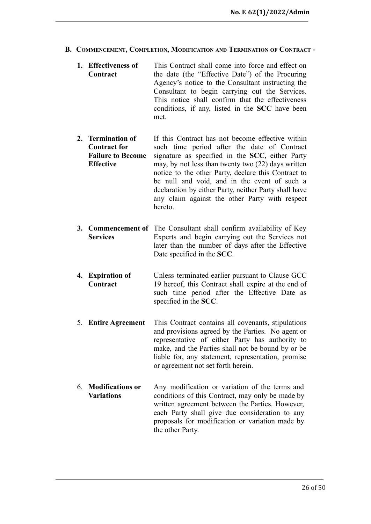- <span id="page-25-0"></span>**B. COMMENCEMENT, COMPLETION, MODIFICATION AND TERMINATION OF CONTRACT -**
	- **1. Effectiveness of Contract** This Contract shall come into force and effect on the date (the "Effective Date") of the Procuring Agency's notice to the Consultant instructing the Consultant to begin carrying out the Services. This notice shall confirm that the effectiveness conditions, if any, listed in the **SCC** have been met.
	- **2. Termination of Contract for Failure to Become Effective** If this Contract has not become effective within such time period after the date of Contract signature as specified in the **SCC**, either Party may, by not less than twenty two (22) days written notice to the other Party, declare this Contract to be null and void, and in the event of such a declaration by either Party, neither Party shall have any claim against the other Party with respect hereto.
	- **3. Commencement of** The Consultant shall confirm availability of Key **Services** Experts and begin carrying out the Services not later than the number of days after the Effective Date specified in the **SCC**.
	- **4. Expiration of Contract** Unless terminated earlier pursuant to Clause GCC 19 hereof, this Contract shall expire at the end of such time period after the Effective Date as specified in the **SCC**.
	- 5. **Entire Agreement** This Contract contains all covenants, stipulations and provisions agreed by the Parties. No agent or representative of either Party has authority to make, and the Parties shall not be bound by or be liable for, any statement, representation, promise or agreement not set forth herein.
	- 6. **Modifications or Variations** Any modification or variation of the terms and conditions of this Contract, may only be made by written agreement between the Parties. However, each Party shall give due consideration to any proposals for modification or variation made by the other Party.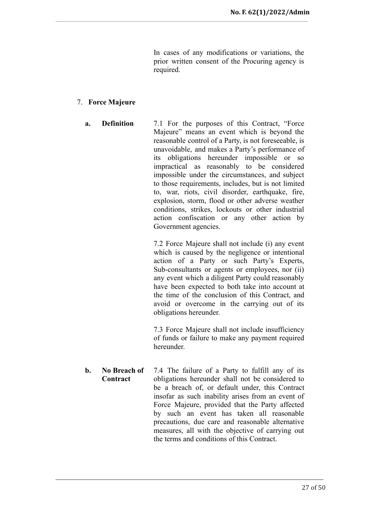In cases of any modifications or variations, the prior written consent of the Procuring agency is required.

#### 7. **Force Majeure**

**a. Definition** 7.1 For the purposes of this Contract, "Force Majeure" means an event which is beyond the reasonable control of a Party, is not foreseeable, is unavoidable, and makes a Party's performance of its obligations hereunder impossible or so impractical as reasonably to be considered impossible under the circumstances, and subject to those requirements, includes, but is not limited to, war, riots, civil disorder, earthquake, fire, explosion, storm, flood or other adverse weather conditions, strikes, lockouts or other industrial action confiscation or any other action by Government agencies.

> 7.2 Force Majeure shall not include (i) any event which is caused by the negligence or intentional action of a Party or such Party's Experts, Sub-consultants or agents or employees, nor (ii) any event which a diligent Party could reasonably have been expected to both take into account at the time of the conclusion of this Contract, and avoid or overcome in the carrying out of its obligations hereunder.

> 7.3 Force Majeure shall not include insufficiency of funds or failure to make any payment required hereunder.

**b. No Breach of Contract** 7.4 The failure of a Party to fulfill any of its obligations hereunder shall not be considered to be a breach of, or default under, this Contract insofar as such inability arises from an event of Force Majeure, provided that the Party affected by such an event has taken all reasonable precautions, due care and reasonable alternative measures, all with the objective of carrying out the terms and conditions of this Contract.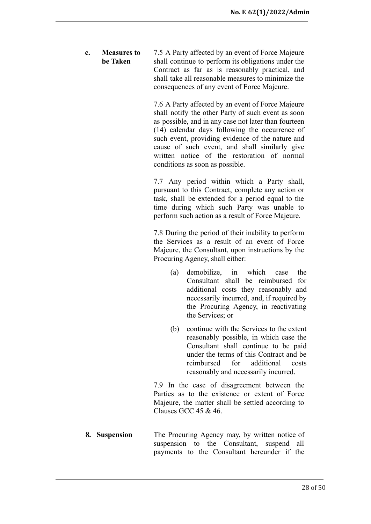**c. Measures to be Taken** 7.5 A Party affected by an event of Force Majeure shall continue to perform its obligations under the Contract as far as is reasonably practical, and shall take all reasonable measures to minimize the consequences of any event of Force Majeure.

> 7.6 A Party affected by an event of Force Majeure shall notify the other Party of such event as soon as possible, and in any case not later than fourteen (14) calendar days following the occurrence of such event, providing evidence of the nature and cause of such event, and shall similarly give written notice of the restoration of normal conditions as soon as possible.

> 7.7 Any period within which a Party shall, pursuant to this Contract, complete any action or task, shall be extended for a period equal to the time during which such Party was unable to perform such action as a result of Force Majeure.

> 7.8 During the period of their inability to perform the Services as a result of an event of Force Majeure, the Consultant, upon instructions by the Procuring Agency, shall either:

- (a) demobilize, in which case the Consultant shall be reimbursed for additional costs they reasonably and necessarily incurred, and, if required by the Procuring Agency, in reactivating the Services; or
- (b) continue with the Services to the extent reasonably possible, in which case the Consultant shall continue to be paid under the terms of this Contract and be reimbursed for additional costs reasonably and necessarily incurred.

7.9 In the case of disagreement between the Parties as to the existence or extent of Force Majeure, the matter shall be settled according to Clauses GCC 45 & 46.

**8. Suspension** The Procuring Agency may, by written notice of suspension to the Consultant, suspend all payments to the Consultant hereunder if the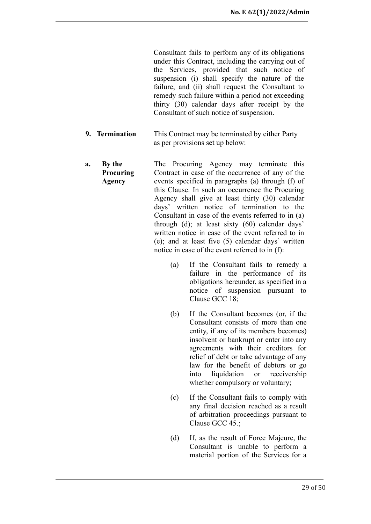Consultant fails to perform any of its obligations under this Contract, including the carrying out of the Services, provided that such notice of suspension (i) shall specify the nature of the failure, and (ii) shall request the Consultant to remedy such failure within a period not exceeding thirty (30) calendar days after receipt by the Consultant of such notice of suspension.

- **9. Termination** This Contract may be terminated by either Party as per provisions set up below:
- **a. By the Procuring Agency** The Procuring Agency may terminate this Contract in case of the occurrence of any of the events specified in paragraphs (a) through (f) of this Clause. In such an occurrence the Procuring Agency shall give at least thirty (30) calendar days' written notice of termination to the Consultant in case of the events referred to in (a) through (d); at least sixty (60) calendar days' written notice in case of the event referred to in (e); and at least five (5) calendar days' written notice in case of the event referred to in (f):
	- (a) If the Consultant fails to remedy a failure in the performance of its obligations hereunder, as specified in a notice of suspension pursuant to Clause GCC 18;
	- (b) If the Consultant becomes (or, if the Consultant consists of more than one entity, if any of its members becomes) insolvent or bankrupt or enter into any agreements with their creditors for relief of debt or take advantage of any law for the benefit of debtors or go into liquidation or receivership whether compulsory or voluntary;
	- (c) If the Consultant fails to comply with any final decision reached as a result of arbitration proceedings pursuant to Clause GCC 45.;
	- (d) If, as the result of Force Majeure, the Consultant is unable to perform a material portion of the Services for a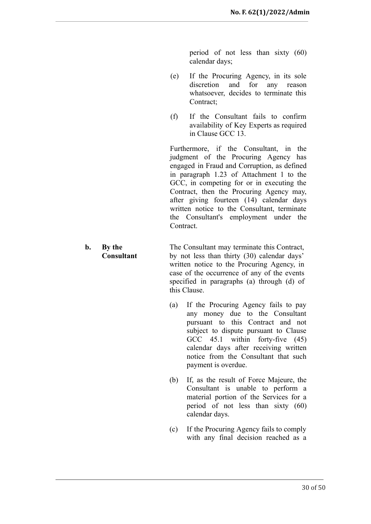period of not less than sixty (60) calendar days;

- (e) If the Procuring Agency, in its sole discretion and for any reason whatsoever, decides to terminate this Contract<sup>:</sup>
- (f) If the Consultant fails to confirm availability of Key Experts as required in Clause GCC 13.

Furthermore, if the Consultant, in the judgment of the Procuring Agency has engaged in Fraud and Corruption, as defined in paragraph 1.23 of Attachment 1 to the GCC, in competing for or in executing the Contract, then the Procuring Agency may, after giving fourteen (14) calendar days written notice to the Consultant, terminate the Consultant's employment under the **Contract** 

#### **b. By the Consultant** The Consultant may terminate this Contract, by not less than thirty (30) calendar days' written notice to the Procuring Agency, in case of the occurrence of any of the events specified in paragraphs (a) through (d) of this Clause.

- (a) If the Procuring Agency fails to pay any money due to the Consultant pursuant to this Contract and not subject to dispute pursuant to Clause GCC 45.1 within forty-five (45) calendar days after receiving written notice from the Consultant that such payment is overdue.
- (b) If, as the result of Force Majeure, the Consultant is unable to perform a material portion of the Services for a period of not less than sixty (60) calendar days.
- (c) If the Procuring Agency fails to comply with any final decision reached as a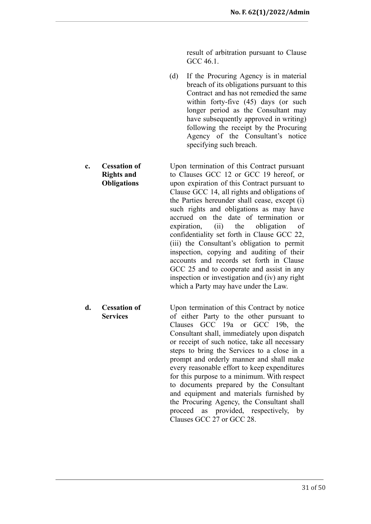result of arbitration pursuant to Clause GCC 46.1

- (d) If the Procuring Agency is in material breach of its obligations pursuant to this Contract and has not remedied the same within forty-five (45) days (or such longer period as the Consultant may have subsequently approved in writing) following the receipt by the Procuring Agency of the Consultant's notice specifying such breach.
- **c. Cessation of Rights and Obligations** Upon termination of this Contract pursuant to Clauses GCC 12 or GCC 19 hereof, or upon expiration of this Contract pursuant to Clause GCC 14, all rights and obligations of the Parties hereunder shall cease, except (i) such rights and obligations as may have accrued on the date of termination or expiration, (ii) the obligation of confidentiality set forth in Clause GCC 22, (iii) the Consultant's obligation to permit inspection, copying and auditing of their accounts and records set forth in Clause GCC 25 and to cooperate and assist in any inspection or investigation and (iv) any right which a Party may have under the Law.
	- **d. Cessation of Services** Upon termination of this Contract by notice of either Party to the other pursuant to Clauses GCC 19a or GCC 19b, the Consultant shall, immediately upon dispatch or receipt of such notice, take all necessary steps to bring the Services to a close in a prompt and orderly manner and shall make every reasonable effort to keep expenditures for this purpose to a minimum. With respect to documents prepared by the Consultant and equipment and materials furnished by the Procuring Agency, the Consultant shall proceed as provided, respectively, by Clauses GCC 27 or GCC 28.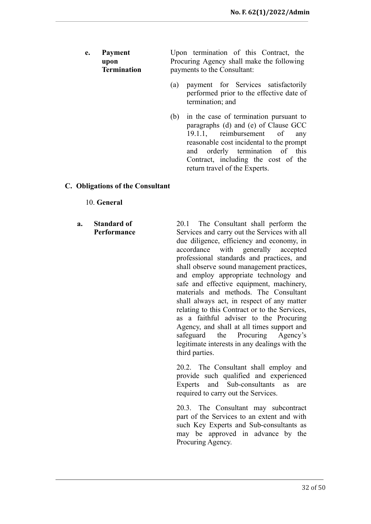- **e. Payment upon Termination** Upon termination of this Contract, the Procuring Agency shall make the following payments to the Consultant:
	- (a) payment for Services satisfactorily performed prior to the effective date of termination; and
	- (b) in the case of termination pursuant to paragraphs (d) and (e) of Clause GCC 19.1.1, reimbursement of any reasonable cost incidental to the prompt and orderly termination of this Contract, including the cost of the return travel of the Experts.

#### <span id="page-31-0"></span>**C. Obligations of the Consultant**

#### 10. **General**

#### **a. Standard of Performance**

20.1 The Consultant shall perform the Services and carry out the Services with all due diligence, efficiency and economy, in accordance with generally accepted professional standards and practices, and shall observe sound management practices, and employ appropriate technology and safe and effective equipment, machinery, materials and methods. The Consultant shall always act, in respect of any matter relating to this Contract or to the Services, as a faithful adviser to the Procuring Agency, and shall at all times support and safeguard the Procuring Agency's legitimate interests in any dealings with the third parties.

20.2. The Consultant shall employ and provide such qualified and experienced Experts and Sub-consultants as are required to carry out the Services.

20.3. The Consultant may subcontract part of the Services to an extent and with such Key Experts and Sub-consultants as may be approved in advance by the Procuring Agency.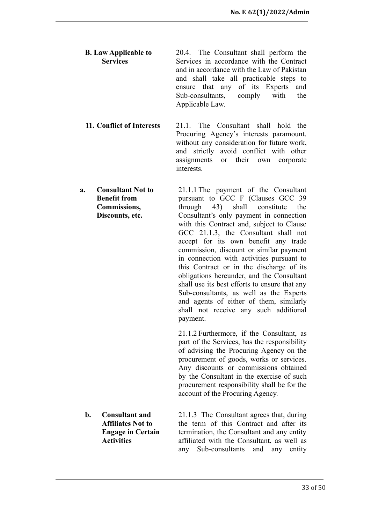- **B. Law Applicable to Services** 20.4. The Consultant shall perform the Services in accordance with the Contract and in accordance with the Law of Pakistan and shall take all practicable steps to ensure that any of its Experts and Sub-consultants, comply with the Applicable Law.
- **11. Conflict of Interests** 21.1. The Consultant shall hold the Procuring Agency's interests paramount, without any consideration for future work, and strictly avoid conflict with other assignments or their own corporate interests.
- **a. Consultant Not to Benefit from Commissions, Discounts, etc.** 21.1.1 The payment of the Consultant pursuant to GCC F (Clauses GCC 39 through 43) shall constitute the Consultant's only payment in connection with this Contract and, subject to Clause GCC 21.1.3, the Consultant shall not accept for its own benefit any trade commission, discount or similar payment in connection with activities pursuant to this Contract or in the discharge of its obligations hereunder, and the Consultant shall use its best efforts to ensure that any Sub-consultants, as well as the Experts and agents of either of them, similarly shall not receive any such additional payment.

21.1.2 Furthermore, if the Consultant, as part of the Services, has the responsibility of advising the Procuring Agency on the procurement of goods, works or services. Any discounts or commissions obtained by the Consultant in the exercise of such procurement responsibility shall be for the account of the Procuring Agency.

**b. Consultant and Affiliates Not to Engage in Certain Activities** 21.1.3 The Consultant agrees that, during the term of this Contract and after its termination, the Consultant and any entity affiliated with the Consultant, as well as any Sub-consultants and any entity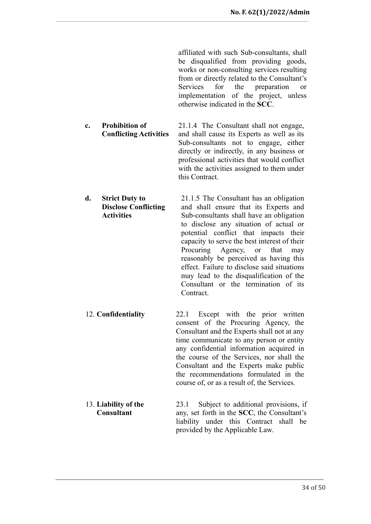affiliated with such Sub-consultants, shall be disqualified from providing goods, works or non-consulting services resulting from or directly related to the Consultant's Services for the preparation or implementation of the project, unless otherwise indicated in the **SCC**.

- **c. Prohibition of Conflicting Activities** 21.1.4 The Consultant shall not engage, and shall cause its Experts as well as its Sub-consultants not to engage, either directly or indirectly, in any business or professional activities that would conflict with the activities assigned to them under this Contract.
- **d. Strict Duty to Disclose Conflicting Activities** 21.1.5 The Consultant has an obligation and shall ensure that its Experts and Sub-consultants shall have an obligation to disclose any situation of actual or potential conflict that impacts their capacity to serve the best interest of their Procuring Agency, or that may reasonably be perceived as having this effect. Failure to disclose said situations may lead to the disqualification of the Consultant or the termination of its **Contract**
- 12. **Confidentiality** 22.1 Except with the prior written consent of the Procuring Agency, the Consultant and the Experts shall not at any time communicate to any person or entity any confidential information acquired in the course of the Services, nor shall the Consultant and the Experts make public the recommendations formulated in the course of, or as a result of, the Services.
- 13. **Liability of the Consultant** 23.1 Subject to additional provisions, if any, set forth in the **SCC**, the Consultant's liability under this Contract shall be provided by the Applicable Law.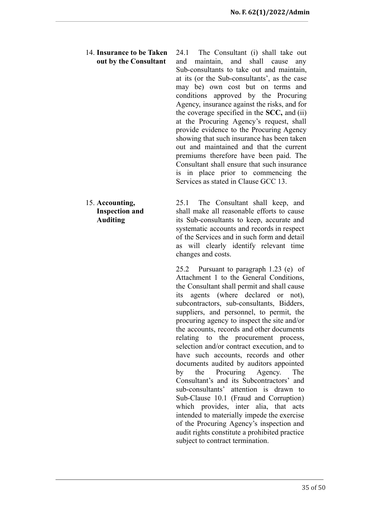14. **Insurance to be Taken out by the Consultant**

24.1 The Consultant (i) shall take out and maintain, and shall cause any Sub-consultants to take out and maintain, at its (or the Sub-consultants', as the case may be) own cost but on terms and conditions approved by the Procuring Agency, insurance against the risks, and for the coverage specified in the **SCC,** and (ii) at the Procuring Agency's request, shall provide evidence to the Procuring Agency showing that such insurance has been taken out and maintained and that the current premiums therefore have been paid. The Consultant shall ensure that such insurance is in place prior to commencing the Services as stated in Clause GCC 13.

15. **Accounting, Inspection and Auditing**

25.1 The Consultant shall keep, and shall make all reasonable efforts to cause its Sub-consultants to keep, accurate and systematic accounts and records in respect of the Services and in such form and detail as will clearly identify relevant time changes and costs.

25.2 Pursuant to paragraph 1.23 (e) of Attachment 1 to the General Conditions, the Consultant shall permit and shall cause its agents (where declared or not), subcontractors, sub-consultants, Bidders, suppliers, and personnel, to permit, the procuring agency to inspect the site and/or the accounts, records and other documents relating to the procurement process, selection and/or contract execution, and to have such accounts, records and other documents audited by auditors appointed by the Procuring Agency. The Consultant's and its Subcontractors' and sub-consultants' attention is drawn to Sub-Clause 10.1 (Fraud and Corruption) which provides, inter alia, that acts intended to materially impede the exercise of the Procuring Agency's inspection and audit rights constitute a prohibited practice subject to contract termination.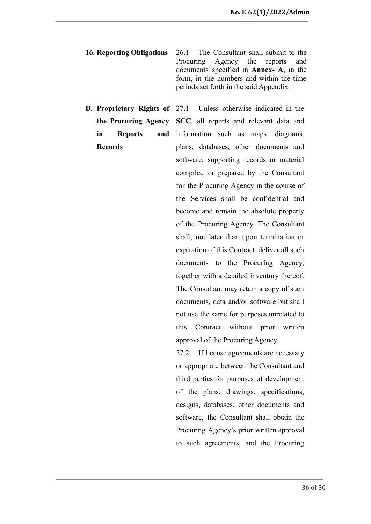- **16. Reporting Obligations** 26.1 The Consultant shall submit to the Procuring Agency the reports and documents specified in **Annex- A**, in the form, in the numbers and within the time periods set forth in the said Appendix.
- **D. Proprietary Rights of the Procuring Agency in Reports and Records**

Unless otherwise indicated in the **SCC**, all reports and relevant data and information such as maps, diagrams, plans, databases, other documents and software, supporting records or material compiled or prepared by the Consultant for the Procuring Agency in the course of the Services shall be confidential and become and remain the absolute property of the Procuring Agency. The Consultant shall, not later than upon termination or expiration of this Contract, deliver all such documents to the Procuring Agency, together with a detailed inventory thereof. The Consultant may retain a copy of such documents, data and/or software but shall not use the same for purposes unrelated to this Contract without prior written approval of the Procuring Agency.

27.2 If license agreements are necessary or appropriate between the Consultant and third parties for purposes of development of the plans, drawings, specifications, designs, databases, other documents and software, the Consultant shall obtain the Procuring Agency's prior written approval to such agreements, and the Procuring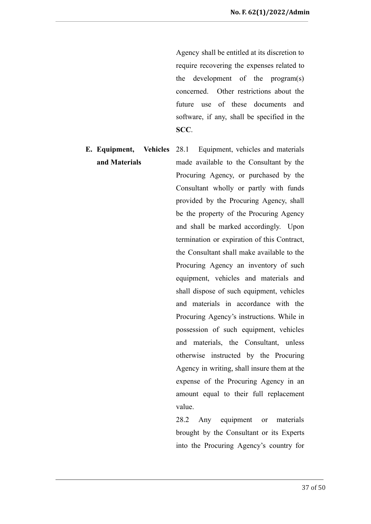Agency shall be entitled at its discretion to require recovering the expenses related to the development of the program(s) concerned. Other restrictions about the future use of these documents and software, if any, shall be specified in the **SCC**.

**E. Equipment, Vehicles and Materials** 28.1 Equipment, vehicles and materials made available to the Consultant by the Procuring Agency, or purchased by the Consultant wholly or partly with funds provided by the Procuring Agency, shall be the property of the Procuring Agency and shall be marked accordingly. Upon termination or expiration of this Contract, the Consultant shall make available to the Procuring Agency an inventory of such equipment, vehicles and materials and shall dispose of such equipment, vehicles and materials in accordance with the Procuring Agency's instructions. While in possession of such equipment, vehicles and materials, the Consultant, unless otherwise instructed by the Procuring Agency in writing, shall insure them at the expense of the Procuring Agency in an amount equal to their full replacement value.

> 28.2 Any equipment or materials brought by the Consultant or its Experts into the Procuring Agency's country for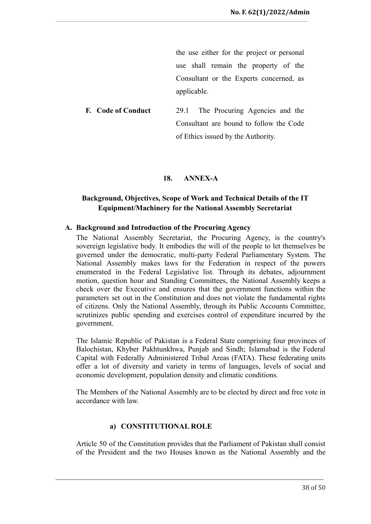the use either for the project or personal use shall remain the property of the Consultant or the Experts concerned, as applicable.

**F. Code of Conduct** 29.1 The Procuring Agencies and the Consultant are bound to follow the Code of Ethics issued by the Authority.

#### **18. ANNEX-A**

## <span id="page-37-0"></span>**Background, Objectives, Scope of Work and Technical Details of the IT Equipment/Machinery for the National Assembly Secretariat**

#### <span id="page-37-2"></span><span id="page-37-1"></span>**A. Background and Introduction of the Procuring Agency**

The National Assembly Secretariat, the Procuring Agency, is the country's sovereign legislative body. It embodies the will of the people to let themselves be governed under the democratic, multi-party Federal Parliamentary System. The National Assembly makes laws for the Federation in respect of the powers enumerated in the Federal Legislative list. Through its debates, adjournment motion, question hour and Standing Committees, the National Assembly keeps a check over the Executive and ensures that the government functions within the parameters set out in the Constitution and does not violate the fundamental rights of citizens. Only the National Assembly, through its Public Accounts Committee, scrutinizes public spending and exercises control of expenditure incurred by the government.

The Islamic Republic of Pakistan is a Federal State comprising four provinces of Balochistan, Khyber Pakhtunkhwa, Punjab and Sindh; Islamabad is the Federal Capital with Federally Administered Tribal Areas (FATA). These federating units offer a lot of diversity and variety in terms of languages, levels of social and economic development, population density and climatic conditions.

The Members of the National Assembly are to be elected by direct and free vote in accordance with law.

#### **a) CONSTITUTIONAL ROLE**

<span id="page-37-3"></span>Article 50 of the Constitution provides that the Parliament of Pakistan shall consist of the President and the two Houses known as the National Assembly and the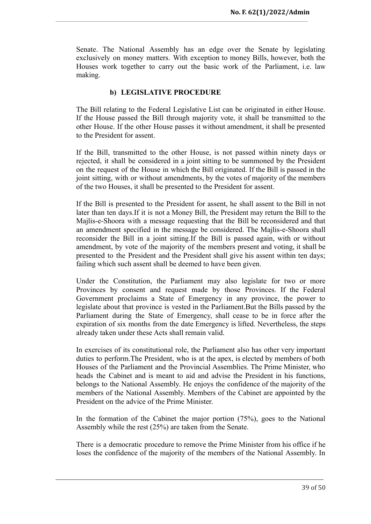Senate. The National Assembly has an edge over the Senate by legislating exclusively on money matters. With exception to money Bills, however, both the Houses work together to carry out the basic work of the Parliament, i.e. law making.

#### **b) LEGISLATIVE PROCEDURE**

<span id="page-38-0"></span>The Bill relating to the Federal Legislative List can be originated in either House. If the House passed the Bill through majority vote, it shall be transmitted to the other House. If the other House passes it without amendment, it shall be presented to the President for assent.

If the Bill, transmitted to the other House, is not passed within ninety days or rejected, it shall be considered in a joint sitting to be summoned by the President on the request of the House in which the Bill originated. If the Bill is passed in the joint sitting, with or without amendments, by the votes of majority of the members of the two Houses, it shall be presented to the President for assent.

If the Bill is presented to the President for assent, he shall assent to the Bill in not later than ten days.If it is not a Money Bill, the President may return the Bill to the Majlis-e-Shoora with a message requesting that the Bill be reconsidered and that an amendment specified in the message be considered. The Majlis-e-Shoora shall reconsider the Bill in a joint sitting.If the Bill is passed again, with or without amendment, by vote of the majority of the members present and voting, it shall be presented to the President and the President shall give his assent within ten days; failing which such assent shall be deemed to have been given.

Under the Constitution, the Parliament may also legislate for two or more Provinces by consent and request made by those Provinces. If the Federal Government proclaims a State of Emergency in any province, the power to legislate about that province is vested in the Parliament.But the Bills passed by the Parliament during the State of Emergency, shall cease to be in force after the expiration of six months from the date Emergency is lifted. Nevertheless, the steps already taken under these Acts shall remain valid.

In exercises of its constitutional role, the Parliament also has other very important duties to perform.The President, who is at the apex, is elected by members of both Houses of the Parliament and the Provincial Assemblies. The Prime Minister, who heads the Cabinet and is meant to aid and advise the President in his functions, belongs to the National Assembly. He enjoys the confidence of the majority of the members of the National Assembly. Members of the Cabinet are appointed by the President on the advice of the Prime Minister.

In the formation of the Cabinet the major portion (75%), goes to the National Assembly while the rest (25%) are taken from the Senate.

There is a democratic procedure to remove the Prime Minister from his office if he loses the confidence of the majority of the members of the National Assembly. In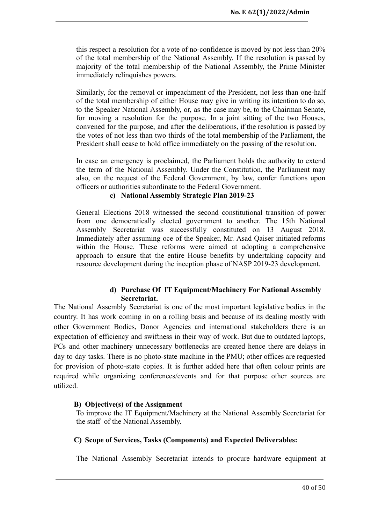this respect a resolution for a vote of no-confidence is moved by not less than 20% of the total membership of the National Assembly. If the resolution is passed by majority of the total membership of the National Assembly, the Prime Minister immediately relinquishes powers.

Similarly, for the removal or impeachment of the President, not less than one-half of the total membership of either House may give in writing its intention to do so, to the Speaker National Assembly, or, as the case may be, to the Chairman Senate, for moving a resolution for the purpose. In a joint sitting of the two Houses, convened for the purpose, and after the deliberations, if the resolution is passed by the votes of not less than two thirds of the total membership of the Parliament, the President shall cease to hold office immediately on the passing of the resolution.

In case an emergency is proclaimed, the Parliament holds the authority to extend the term of the National Assembly. Under the Constitution, the Parliament may also, on the request of the Federal Government, by law, confer functions upon officers or authorities subordinate to the Federal Government.

#### **c) National Assembly Strategic Plan 2019-23**

<span id="page-39-0"></span>General Elections 2018 witnessed the second constitutional transition of power from one democratically elected government to another. The 15th National Assembly Secretariat was successfully constituted on 13 August 2018. Immediately after assuming oce of the Speaker, Mr. Asad Qaiser initiated reforms within the House. These reforms were aimed at adopting a comprehensive approach to ensure that the entire House benefits by undertaking capacity and resource development during the inception phase of NASP 2019-23 development.

#### **d) Purchase Of IT Equipment/Machinery For National Assembly Secretariat.**

<span id="page-39-1"></span>The National Assembly Secretariat is one of the most important legislative bodies in the country. It has work coming in on a rolling basis and because of its dealing mostly with other Government Bodies, Donor Agencies and international stakeholders there is an expectation of efficiency and swiftness in their way of work. But due to outdated laptops, PCs and other machinery unnecessary bottlenecks are created hence there are delays in day to day tasks. There is no photo-state machine in the PMU; other offices are requested for provision of photo-state copies. It is further added here that often colour prints are required while organizing conferences/events and for that purpose other sources are utilized.

#### <span id="page-39-2"></span>**B) Objective(s) of the Assignment**

To improve the IT Equipment/Machinery at the National Assembly Secretariat for the staff of the National Assembly.

#### <span id="page-39-3"></span>**C) Scope of Services, Tasks (Components) and Expected Deliverables:**

The National Assembly Secretariat intends to procure hardware equipment at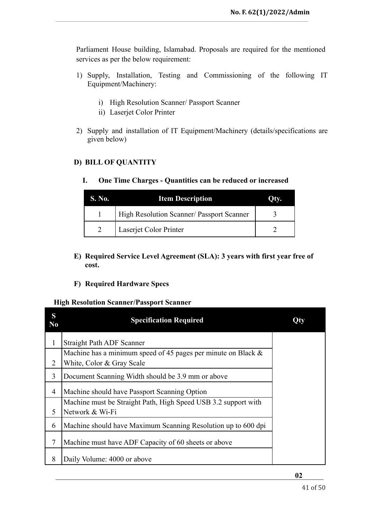Parliament House building, Islamabad. Proposals are required for the mentioned services as per the below requirement:

- 1) Supply, Installation, Testing and Commissioning of the following IT Equipment/Machinery:
	- i) High Resolution Scanner/ Passport Scanner
	- ii) Laserjet Color Printer
- 2) Supply and installation of IT Equipment/Machinery (details/specifications are given below)

## <span id="page-40-1"></span><span id="page-40-0"></span>**D) BILL OF QUANTITY**

**I. One Time Charges - Quantities can be reduced or increased**

| S. No. | <b>Item Description</b>                          |  |
|--------|--------------------------------------------------|--|
|        | <b>High Resolution Scanner/ Passport Scanner</b> |  |
|        | Laserjet Color Printer                           |  |

- <span id="page-40-2"></span>**E) Required Service Level Agreement (SLA): 3 years with first year free of cost.**
- **F) Required Hardware Specs**

#### <span id="page-40-3"></span>**High Resolution Scanner/Passport Scanner**

| S<br>N <sub>0</sub> | <b>Specification Required</b>                                                                 |  |
|---------------------|-----------------------------------------------------------------------------------------------|--|
| 1                   | <b>Straight Path ADF Scanner</b>                                                              |  |
| 2                   | Machine has a minimum speed of 45 pages per minute on Black $\&$<br>White, Color & Gray Scale |  |
| 3                   | Document Scanning Width should be 3.9 mm or above                                             |  |
| 4                   | Machine should have Passport Scanning Option                                                  |  |
| 5                   | Machine must be Straight Path, High Speed USB 3.2 support with<br>Network & Wi-Fi             |  |
| 6                   | Machine should have Maximum Scanning Resolution up to 600 dpi                                 |  |
| 7                   | Machine must have ADF Capacity of 60 sheets or above                                          |  |
| 8                   | Daily Volume: 4000 or above                                                                   |  |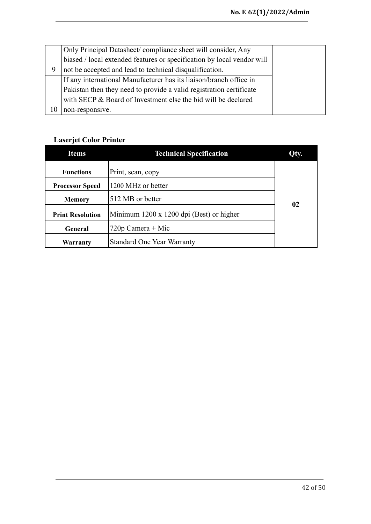| Only Principal Datasheet/ compliance sheet will consider, Any          |  |  |  |  |  |
|------------------------------------------------------------------------|--|--|--|--|--|
| biased / local extended features or specification by local vendor will |  |  |  |  |  |
| not be accepted and lead to technical disqualification.                |  |  |  |  |  |
| If any international Manufacturer has its liaison/branch office in     |  |  |  |  |  |
| Pakistan then they need to provide a valid registration certificate    |  |  |  |  |  |
| with SECP & Board of Investment else the bid will be declared          |  |  |  |  |  |
| non-responsive.                                                        |  |  |  |  |  |

# **Laserjet Color Printer**

| <b>Items</b>                                 | <b>Technical Specification</b>           | Qty. |
|----------------------------------------------|------------------------------------------|------|
| <b>Functions</b>                             | Print, scan, copy                        |      |
| 1200 MHz or better<br><b>Processor Speed</b> |                                          |      |
| 512 MB or better<br><b>Memory</b>            |                                          | 02   |
| <b>Print Resolution</b>                      | Minimum 1200 x 1200 dpi (Best) or higher |      |
| $720p$ Camera + Mic<br>General               |                                          |      |
| Warranty                                     | <b>Standard One Year Warranty</b>        |      |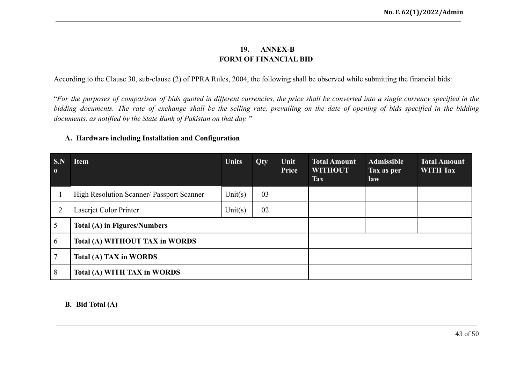## **19. ANNEX-B FORM OF FINANCIAL BID**

According to the Clause 30, sub-clause (2) of PPRA Rules, 2004, the following shall be observed while submitting the financial bids:

"For the purposes of comparison of bids quoted in different currencies, the price shall be converted into a single currency specified in the bidding documents. The rate of exchange shall be the selling rate, prevailing on the date of opening of bids specified in the bidding *documents, as notified by the State Bank of Pakistan on that day.* "

#### **A. Hardware including Installation and Configuration**

<span id="page-42-1"></span><span id="page-42-0"></span>

| S.N<br>$\mathbf{0}$ | <b>Item</b>                               | <b>Units</b> | Qty | Unit<br>Price | <b>Total Amount</b><br><b>WITHOUT</b><br><b>Tax</b> | <b>Admissible</b><br>Tax as per<br>law | <b>Total Amount</b><br><b>WITH Tax</b> |
|---------------------|-------------------------------------------|--------------|-----|---------------|-----------------------------------------------------|----------------------------------------|----------------------------------------|
|                     | High Resolution Scanner/ Passport Scanner | Unit $(s)$   | 03  |               |                                                     |                                        |                                        |
|                     | Laserjet Color Printer                    | Unit(s)      | 02  |               |                                                     |                                        |                                        |
|                     | Total (A) in Figures/Numbers              |              |     |               |                                                     |                                        |                                        |
| 6                   | Total (A) WITHOUT TAX in WORDS            |              |     |               |                                                     |                                        |                                        |
|                     | Total (A) TAX in WORDS                    |              |     |               |                                                     |                                        |                                        |
| 8                   | Total (A) WITH TAX in WORDS               |              |     |               |                                                     |                                        |                                        |

#### **B. Bid Total (A)**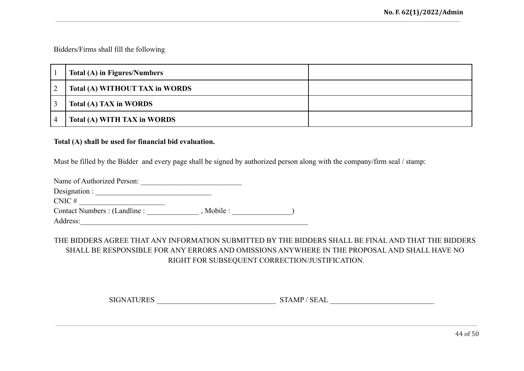Bidders/Firms shall fill the following

| Total (A) in Figures/Numbers   |  |
|--------------------------------|--|
| Total (A) WITHOUT TAX in WORDS |  |
| Total (A) TAX in WORDS         |  |
| Total (A) WITH TAX in WORDS    |  |

#### **Total (A) shall be used for financial bid evaluation.**

Must be filled by the Bidder and every page shall be signed by authorized person along with the company/firm seal / stamp:

| Name of Authorized Person:    |            |  |
|-------------------------------|------------|--|
| Designation :                 |            |  |
| $CNIC \#$                     |            |  |
| Contact Numbers : (Landline : | , Mobile : |  |
| Address <sup>-</sup>          |            |  |

# THE BIDDERS AGREE THAT ANY INFORMATION SUBMITTED BY THE BIDDERS SHALL BE FINAL AND THAT THE BIDDERS SHALL BE RESPONSIBLE FOR ANY ERRORS AND OMISSIONS ANYWHERE IN THE PROPOSAL AND SHALL HAVE NO RIGHT FOR SUBSEQUENT CORRECTION/JUSTIFICATION.

SIGNATURES \_\_\_\_\_\_\_\_\_\_\_\_\_\_\_\_\_\_\_\_\_\_\_\_\_\_\_\_\_\_\_\_ STAMP / SEAL \_\_\_\_\_\_\_\_\_\_\_\_\_\_\_\_\_\_\_\_\_\_\_\_\_\_\_\_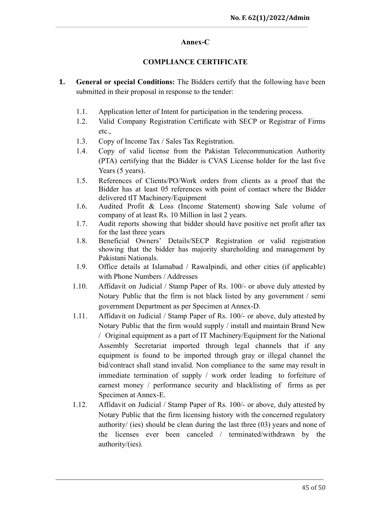#### **Annex-C**

#### **COMPLIANCE CERTIFICATE**

- <span id="page-44-2"></span><span id="page-44-1"></span><span id="page-44-0"></span>**1. General or special Conditions:** The Bidders certify that the following have been submitted in their proposal in response to the tender:
	- 1.1. Application letter of Intent for participation in the tendering process.
	- 1.2. Valid Company Registration Certificate with SECP or Registrar of Firms etc.,
	- 1.3. Copy of Income Tax / Sales Tax Registration.
	- 1.4. Copy of valid license from the Pakistan Telecommunication Authority (PTA) certifying that the Bidder is CVAS License holder for the last five Years (5 years).
	- 1.5. References of Clients/PO/Work orders from clients as a proof that the Bidder has at least 05 references with point of contact where the Bidder delivered tIT Machinery/Equipment
	- 1.6. Audited Profit & Loss (Income Statement) showing Sale volume of company of at least Rs. 10 Million in last 2 years.
	- 1.7. Audit reports showing that bidder should have positive net profit after tax for the last three years
	- 1.8. Beneficial Owners' Details/SECP Registration or valid registration showing that the bidder has majority shareholding and management by Pakistani Nationals.
	- 1.9. Office details at Islamabad / Rawalpindi, and other cities (if applicable) with Phone Numbers / Addresses
	- 1.10. Affidavit on Judicial / Stamp Paper of Rs. 100/- or above duly attested by Notary Public that the firm is not black listed by any government / semi government Department as per Specimen at Annex-D.
	- 1.11. Affidavit on Judicial / Stamp Paper of Rs. 100/- or above, duly attested by Notary Public that the firm would supply / install and maintain Brand New / Original equipment as a part of IT Machinery/Equipment for the National Assembly Secretariat imported through legal channels that if any equipment is found to be imported through gray or illegal channel the bid/contract shall stand invalid. Non compliance to the same may result in immediate termination of supply / work order leading to forfeiture of earnest money / performance security and blacklisting of firms as per Specimen at Annex-E.
	- 1.12. Affidavit on Judicial / Stamp Paper of Rs. 100/- or above, duly attested by Notary Public that the firm licensing history with the concerned regulatory authority/ (ies) should be clean during the last three (03) years and none of the licenses ever been canceled / terminated/withdrawn by the authority/(ies).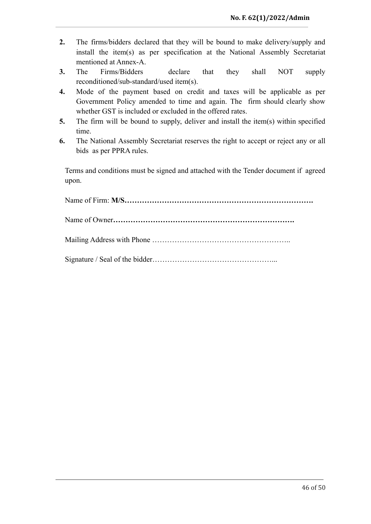- **2.** The firms/bidders declared that they will be bound to make delivery/supply and install the item(s) as per specification at the National Assembly Secretariat mentioned at Annex-A.
- **3.** The Firms/Bidders declare that they shall NOT supply reconditioned/sub-standard/used item(s).
- **4.** Mode of the payment based on credit and taxes will be applicable as per Government Policy amended to time and again. The firm should clearly show whether GST is included or excluded in the offered rates.
- **5.** The firm will be bound to supply, deliver and install the item(s) within specified time.
- **6.** The National Assembly Secretariat reserves the right to accept or reject any or all bids as per PPRA rules.

Terms and conditions must be signed and attached with the Tender document if agreed upon.

<span id="page-45-0"></span>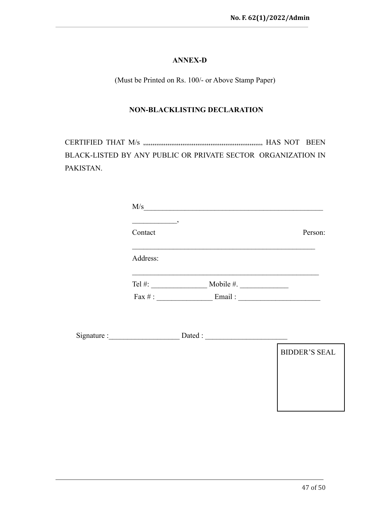## **ANNEX-D**

(Must be Printed on Rs. 100/- or Above Stamp Paper)

#### **NON-BLACKLISTING DECLARATION**

<span id="page-46-0"></span>CERTIFIED THAT M/s ,,,,,,,,,,,,,,,,,,,,,,,,,,,,,,,,,,,,,,,,,,,,,,,,,,,,,,,,,,,,,,,, HAS NOT BEEN BLACK-LISTED BY ANY PUBLIC OR PRIVATE SECTOR ORGANIZATION IN PAKISTAN.

| M/s               |              |         |
|-------------------|--------------|---------|
| Contact           |              | Person: |
| Address:          |              |         |
| Tel $#$ :         | Mobile $#$ . |         |
| $\text{Fax} \#$ : | Email:       |         |

Signature :\_\_\_\_\_\_\_\_\_\_\_\_\_\_\_\_\_\_\_ Dated : \_\_\_\_\_\_\_\_\_\_\_\_\_\_\_\_\_\_\_\_\_\_

| <b>BIDDER'S SEAL</b> |
|----------------------|
|                      |
|                      |
|                      |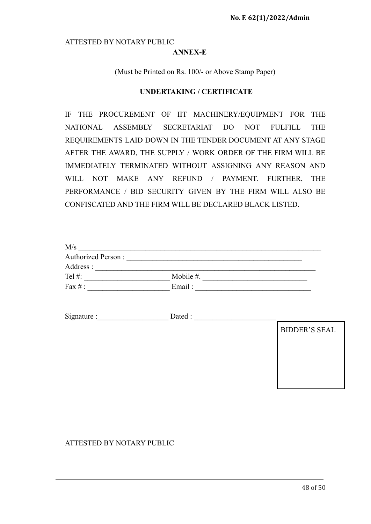#### <span id="page-47-0"></span>ATTESTED BY NOTARY PUBLIC

#### **ANNEX-E**

(Must be Printed on Rs. 100/- or Above Stamp Paper)

#### **UNDERTAKING / CERTIFICATE**

<span id="page-47-1"></span>IF THE PROCUREMENT OF IIT MACHINERY/EQUIPMENT FOR THE NATIONAL ASSEMBLY SECRETARIAT DO NOT FULFILL THE REQUIREMENTS LAID DOWN IN THE TENDER DOCUMENT AT ANY STAGE AFTER THE AWARD, THE SUPPLY / WORK ORDER OF THE FIRM WILL BE IMMEDIATELY TERMINATED WITHOUT ASSIGNING ANY REASON AND WILL NOT MAKE ANY REFUND / PAYMENT. FURTHER, THE PERFORMANCE / BID SECURITY GIVEN BY THE FIRM WILL ALSO BE CONFISCATED AND THE FIRM WILL BE DECLARED BLACK LISTED.

| M/s                       |              |  |
|---------------------------|--------------|--|
| <b>Authorized Person:</b> |              |  |
| Address :                 |              |  |
| Tel $#$ :                 | Mobile $#$ . |  |
| Fax $#$ :                 | Email:       |  |

Signature :\_\_\_\_\_\_\_\_\_\_\_\_\_\_\_\_\_\_\_ Dated : \_\_\_\_\_\_\_\_\_\_\_\_\_\_\_\_\_\_\_\_\_\_

BIDDER'S SEAL

## ATTESTED BY NOTARY PUBLIC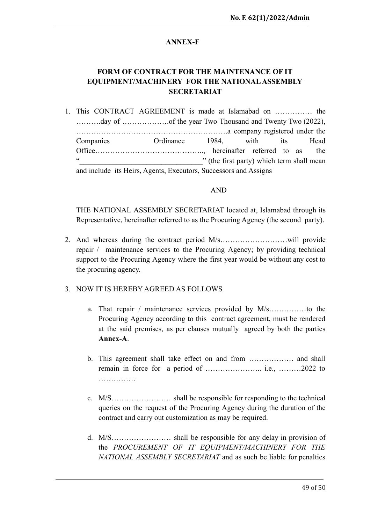## **ANNEX-F**

# <span id="page-48-0"></span>**FORM OF CONTRACT FOR THE MAINTENANCE OF IT EQUIPMENT/MACHINERY FOR THE NATIONALASSEMBLY SECRETARIAT**

<span id="page-48-1"></span>1. This CONTRACT AGREEMENT is made at Islamabad on …………… the ……….day of ……………….of the year Two Thousand and Twenty Two (2022), …………………………………………………….a company registered under the Companies Ordinance 1984, with its Head Office…………………………………….., hereinafter referred to as the " (the first party) which term shall mean and include its Heirs, Agents, Executors, Successors and Assigns

#### AND

THE NATIONAL ASSEMBLY SECRETARIAT located at, Islamabad through its Representative, hereinafter referred to as the Procuring Agency (the second party).

2. And whereas during the contract period M/s………………………will provide repair / maintenance services to the Procuring Agency; by providing technical support to the Procuring Agency where the first year would be without any cost to the procuring agency.

#### 3. NOW IT IS HEREBY AGREED AS FOLLOWS

- a. That repair / maintenance services provided by M/s……………to the Procuring Agency according to this contract agreement, must be rendered at the said premises, as per clauses mutually agreed by both the parties **Annex-A**.
- b. This agreement shall take effect on and from ……………… and shall remain in force for a period of ………………….. i.e., ………2022 to …………………
- c. M/S…………………… shall be responsible for responding to the technical queries on the request of the Procuring Agency during the duration of the contract and carry out customization as may be required.
- d. M/S…………………… shall be responsible for any delay in provision of the *PROCUREMENT OF IT EQUIPMENT/MACHINERY FOR THE NATIONAL ASSEMBLY SECRETARIAT* and as such be liable for penalties